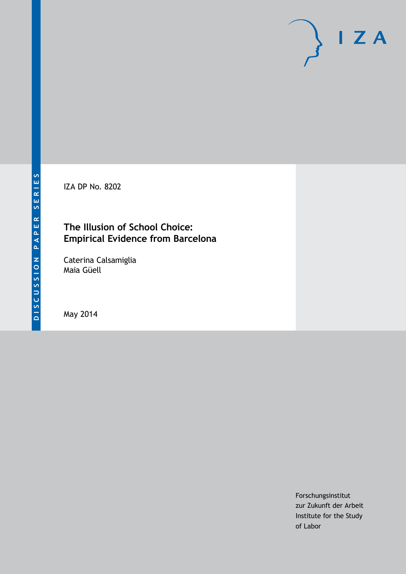IZA DP No. 8202

### **The Illusion of School Choice: Empirical Evidence from Barcelona**

Caterina Calsamiglia Maia Güell

May 2014

Forschungsinstitut zur Zukunft der Arbeit Institute for the Study of Labor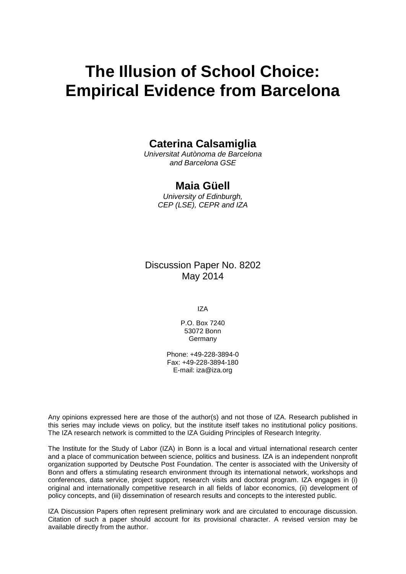# **The Illusion of School Choice: Empirical Evidence from Barcelona**

#### **Caterina Calsamiglia**

*Universitat Autònoma de Barcelona and Barcelona GSE*

#### **Maia Güell**

*University of Edinburgh, CEP (LSE), CEPR and IZA*

Discussion Paper No. 8202 May 2014

IZA

P.O. Box 7240 53072 Bonn Germany

Phone: +49-228-3894-0 Fax: +49-228-3894-180 E-mail: [iza@iza.org](mailto:iza@iza.org)

<span id="page-1-0"></span>Any opinions expressed here are those of the author(s) and not those of IZA. Research published in this series may include views on policy, but the institute itself takes no institutional policy positions. The IZA research network is committed to the IZA Guiding Principles of Research Integrity.

The Institute for the Study of Labor (IZA) in Bonn is a local and virtual international research center and a place of communication between science, politics and business. IZA is an independent nonprofit organization supported by Deutsche Post Foundation. The center is associated with the University of Bonn and offers a stimulating research environment through its international network, workshops and conferences, data service, project support, research visits and doctoral program. IZA engages in (i) original and internationally competitive research in all fields of labor economics, (ii) development of policy concepts, and (iii) dissemination of research results and concepts to the interested public.

IZA Discussion Papers often represent preliminary work and are circulated to encourage discussion. Citation of such a paper should account for its provisional character. A revised version may be available directly from the author.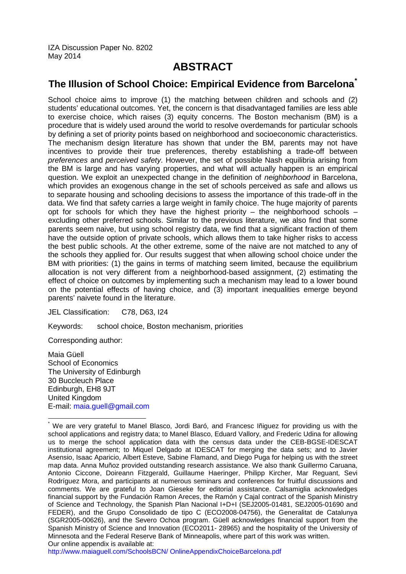IZA Discussion Paper No. 8202 May 2014

### **ABSTRACT**

#### **The Illusion of School Choice: Empirical Evidence from Barcelona[\\*](#page-1-0)**

School choice aims to improve (1) the matching between children and schools and (2) students' educational outcomes. Yet, the concern is that disadvantaged families are less able to exercise choice, which raises (3) equity concerns. The Boston mechanism (BM) is a procedure that is widely used around the world to resolve overdemands for particular schools by defining a set of priority points based on neighborhood and socioeconomic characteristics. The mechanism design literature has shown that under the BM, parents may not have incentives to provide their true preferences, thereby establishing a trade-off between *preferences* and *perceived safety*. However, the set of possible Nash equilibria arising from the BM is large and has varying properties, and what will actually happen is an empirical question. We exploit an unexpected change in the definition of *neighborhood* in Barcelona, which provides an exogenous change in the set of schools perceived as safe and allows us to separate housing and schooling decisions to assess the importance of this trade-off in the data. We find that safety carries a large weight in family choice. The huge majority of parents opt for schools for which they have the highest priority  $-$  the neighborhood schools  $$ excluding other preferred schools. Similar to the previous literature, we also find that some parents seem naive, but using school registry data, we find that a significant fraction of them have the outside option of private schools, which allows them to take higher risks to access the best public schools. At the other extreme, some of the naive are not matched to any of the schools they applied for. Our results suggest that when allowing school choice under the BM with priorities: (1) the gains in terms of matching seem limited, because the equilibrium allocation is not very different from a neighborhood-based assignment, (2) estimating the effect of choice on outcomes by implementing such a mechanism may lead to a lower bound on the potential effects of having choice, and (3) important inequalities emerge beyond parents' naivete found in the literature.

JEL Classification: C78, D63, I24

Keywords: school choice, Boston mechanism, priorities

Corresponding author:

Maia Güell School of Economics The University of Edinburgh 30 Buccleuch Place Edinburgh, EH8 9JT United Kingdom E-mail: [maia.guell@gmail.com](mailto:maia.guell@gmail.com)

[http://www.maiaguell.com/SchoolsBCN/ OnlineAppendixChoiceBarcelona.pdf](http://www.maiaguell.com/SchoolsBCN/OnlineAppendixChoiceBarcelona.pdf)

We are very grateful to Manel Blasco, Jordi Baró, and Francesc Iñiguez for providing us with the school applications and registry data; to Manel Blasco, Eduard Vallory, and Frederic Udina for allowing us to merge the school application data with the census data under the CEB-BGSE-IDESCAT institutional agreement; to Miquel Delgado at IDESCAT for merging the data sets; and to Javier Asensio, Isaac Aparicio, Albert Esteve, Sabine Flamand, and Diego Puga for helping us with the street map data. Anna Muñoz provided outstanding research assistance. We also thank Guillermo Caruana, Antonio Ciccone, Doireann Fitzgerald, Guillaume Haeringer, Philipp Kircher, Mar Reguant, Sevi Rodríguez Mora, and participants at numerous seminars and conferences for fruitful discussions and comments. We are grateful to Joan Gieseke for editorial assistance. Calsamiglia acknowledges financial support by the Fundación Ramon Areces, the Ramón y Cajal contract of the Spanish Ministry of Science and Technology, the Spanish Plan Nacional I+D+I (SEJ2005-01481, SEJ2005-01690 and FEDER), and the Grupo Consolidado de tipo C (ECO2008-04756), the Generalitat de Catalunya (SGR2005-00626), and the Severo Ochoa program. Güell acknowledges financial support from the Spanish Ministry of Science and Innovation (ECO2011- 28965) and the hospitality of the University of Minnesota and the Federal Reserve Bank of Minneapolis, where part of this work was written. Our online appendix is available at: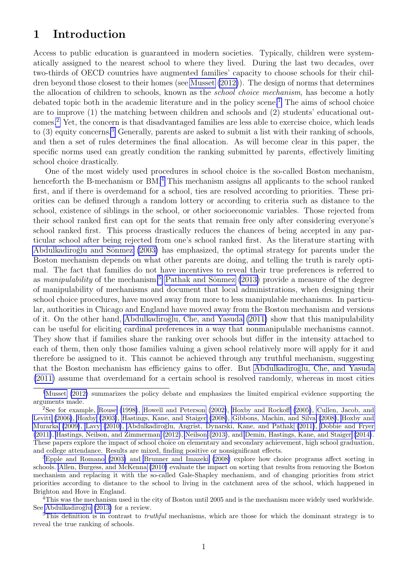### 1 Introduction

Access to public education is guaranteed in modern societies. Typically, children were systematically assigned to the nearest school to where they lived. During the last two decades, over two-thirds of OECD countries have augmented families' capacity to choose schools for their children beyond those closest to their homes (see [Musset](#page-29-0) [\(2012\)](#page-29-0)). The design of norms that determines the allocation of children to schools, known as the school choice mechanism, has become a hotly debated topic both in the academic literature and in the policy scene.<sup>[1](#page-3-0)</sup> The aims of school choice are to improve (1) the matching between children and schools and (2) students' educational outcomes.[2](#page-3-1) Yet, the concern is that disadvantaged families are less able to exercise choice, which leads to  $(3)$  $(3)$  $(3)$  equity concerns.<sup>3</sup> Generally, parents are asked to submit a list with their ranking of schools, and then a set of rules determines the final allocation. As will become clear in this paper, the specific norms used can greatly condition the ranking submitted by parents, effectively limiting school choice drastically.

One of the most widely used procedures in school choice is the so-called Boston mechanism, henceforth the B-mechanism or BM.<sup>[4](#page-3-3)</sup> This mechanism assigns all applicants to the school ranked first, and if there is overdemand for a school, ties are resolved according to priorities. These priorities can be defined through a random lottery or according to criteria such as distance to the school, existence of siblings in the school, or other socioeconomic variables. Those rejected from their school ranked first can opt for the seats that remain free only after considering everyone's school ranked first. This process drastically reduces the chances of being accepted in any particular school after being rejected from one's school ranked first. As the literature starting with Abdulkadiroğlu and Sönmez [\(2003\)](#page-28-0) has emphasized, the optimal strategy for parents under the Boston mechanism depends on what other parents are doing, and telling the truth is rarely optimal. The fact that families do not have incentives to reveal their true preferences is referred to as manipulability of the mechanism.<sup>[5](#page-3-4)</sup> Pathak and Sönmez  $(2013)$  provide a measure of the degree of manipulability of mechanisms and document that local administrations, when designing their school choice procedures, have moved away from more to less manipulable mechanisms. In particular, authorities in Chicago and England have moved away from the Boston mechanism and versions of it. On the other hand, Abdulkadiroğlu, Che, and Yasuda [\(2011\)](#page-28-1) show that this manipulability can be useful for eliciting cardinal preferences in a way that nonmanipulable mechanisms cannot. They show that if families share the ranking over schools but differ in the intensity attached to each of them, then only those families valuing a given school relatively more will apply for it and therefore be assigned to it. This cannot be achieved through any truthful mechanism, suggesting that the Boston mechanism has efficiency gains to offer. But Abdulkadiroğlu, Che, and Yasuda [\(2011\)](#page-28-1) assume that overdemand for a certain school is resolved randomly, whereas in most cities

<span id="page-3-0"></span><sup>&</sup>lt;sup>1</sup>[Musset](#page-29-0) [\(2012\)](#page-29-0) summarizes the policy debate and emphasizes the limited empirical evidence supporting the arguments made.

<span id="page-3-1"></span><sup>2</sup>See for example, [Rouse](#page-29-2) [\(1998\)](#page-29-2), [Howell and Peterson](#page-29-3) [\(2002\)](#page-29-3), [Hoxby and Rockoff](#page-29-4) [\(2005\)](#page-29-4), [Cullen, Jacob, and](#page-28-2) [Levitt](#page-28-2) [\(2006\)](#page-28-2), [Hoxby](#page-29-5) [\(2003\)](#page-29-5), [Hastings, Kane, and Staiger](#page-29-6) [\(2008\)](#page-29-6), [Gibbons, Machin, and Silva](#page-28-3) [\(2008\)](#page-28-3), [Hoxby and](#page-29-7) [Murarka](#page-29-7) [\(2009\)](#page-29-7), [Lavy](#page-29-8) [\(2010\)](#page-29-8), Abdulkadiroğlu, Angrist, Dynarski, Kane, and Pathak [\(2011\)](#page-28-4), [Dobbie and Fryer](#page-28-5) [\(2011\)](#page-28-5), [Hastings, Neilson, and Zimmerman](#page-29-9) [\(2012\)](#page-29-9), [Neilson](#page-29-10) [\(2013\)](#page-29-10), and [Demin, Hastings, Kane, and Staiger](#page-28-6) [\(2014\)](#page-28-6). These papers explore the impact of school choice on elementary and secondary achievement, high school graduation, and college attendance. Results are mixed, finding positive or nonsignificant effects.

<span id="page-3-2"></span><sup>3</sup>[Epple and Romano](#page-28-7) [\(2003\)](#page-28-7) and [Brunner and Imazeki](#page-28-8) [\(2008\)](#page-28-8) explore how choice programs affect sorting in schools. [Allen, Burgess, and McKenna](#page-28-9) [\(2010\)](#page-28-9) evaluate the impact on sorting that results from removing the Boston mechanism and replacing it with the so-called Gale-Shapley mechanism, and of changing priorities from strict priorities according to distance to the school to living in the catchment area of the school, which happened in Brighton and Hove in England.

<span id="page-3-3"></span><sup>4</sup>This was the mechanism used in the city of Boston until 2005 and is the mechanism more widely used worldwide. See Abdulkadiroğlu [\(2013\)](#page-28-10) for a review.

<span id="page-3-4"></span> $5$ This definition is in contrast to *truthful* mechanisms, which are those for which the dominant strategy is to reveal the true ranking of schools.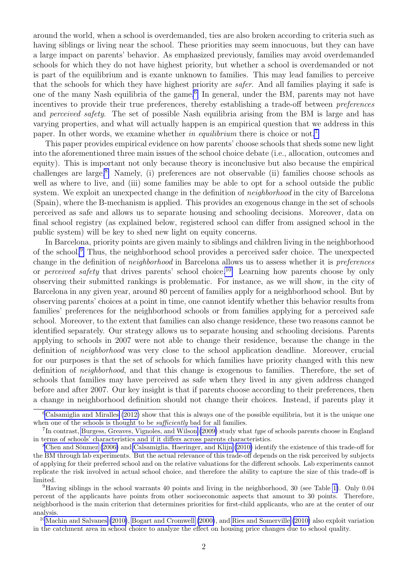around the world, when a school is overdemanded, ties are also broken according to criteria such as having siblings or living near the school. These priorities may seem innocuous, but they can have a large impact on parents' behavior. As emphasized previously, families may avoid overdemanded schools for which they do not have highest priority, but whether a school is overdemanded or not is part of the equilibrium and is exante unknown to families. This may lead families to perceive that the schools for which they have highest priority are safer. And all families playing it safe is one of the many Nash equilibria of the game.<sup>[6](#page-4-0)</sup> In general, under the BM, parents may not have incentives to provide their true preferences, thereby establishing a trade-off between preferences and *perceived safety*. The set of possible Nash equilibria arising from the BM is large and has varying properties, and what will actually happen is an empirical question that we address in this paper. In other words, we examine whether in equilibrium there is choice or not.<sup>[7](#page-4-1)</sup>

This paper provides empirical evidence on how parents' choose schools that sheds some new light into the aforementioned three main issues of the school choice debate (i.e., allocation, outcomes and equity). This is important not only because theory is inconclusive but also because the empirical challenges are large.<sup>[8](#page-4-2)</sup> Namely, (i) preferences are not observable (ii) families choose schools as well as where to live, and (iii) some families may be able to opt for a school outside the public system. We exploit an unexpected change in the definition of *neighborhood* in the city of Barcelona (Spain), where the B-mechanism is applied. This provides an exogenous change in the set of schools perceived as safe and allows us to separate housing and schooling decisions. Moreover, data on final school registry (as explained below, registered school can differ from assigned school in the public system) will be key to shed new light on equity concerns.

In Barcelona, priority points are given mainly to siblings and children living in the neighborhood of the school.[9](#page-4-3) Thus, the neighborhood school provides a perceived safer choice. The unexpected change in the definition of neighborhood in Barcelona allows us to assess whether it is preferences or *perceived safety* that drives parents' school choice.<sup>[10](#page-4-4)</sup> Learning how parents choose by only observing their submitted rankings is problematic. For instance, as we will show, in the city of Barcelona in any given year, around 80 percent of families apply for a neighborhood school. But by observing parents' choices at a point in time, one cannot identify whether this behavior results from families' preferences for the neighborhood schools or from families applying for a perceived safe school. Moreover, to the extent that families can also change residence, these two reasons cannot be identified separately. Our strategy allows us to separate housing and schooling decisions. Parents applying to schools in 2007 were not able to change their residence, because the change in the definition of neighborhood was very close to the school application deadline. Moreover, crucial for our purposes is that the set of schools for which families have priority changed with this new definition of neighborhood, and that this change is exogenous to families. Therefore, the set of schools that families may have perceived as safe when they lived in any given address changed before and after 2007. Our key insight is that if parents choose according to their preferences, then a change in neighborhood definition should not change their choices. Instead, if parents play it

<span id="page-4-0"></span> ${}^{6}$ [Calsamiglia and Miralles](#page-28-11) [\(2012\)](#page-28-11) show that this is always one of the possible equilibria, but it is the unique one when one of the schools is thought to be *sufficiently* bad for all families.

<span id="page-4-1"></span><sup>&</sup>lt;sup>7</sup>In contrast, [Burgess, Greaves, Vignoles, and Wilson](#page-28-12) [\(2009\)](#page-28-12) study what type of schools parents choose in England in terms of schools' characteristics and if it differs across parents characteristics.

<span id="page-4-2"></span> ${}^8$ Chen and Sönmez [\(2006\)](#page-28-13) and [Calsamiglia, Haeringer, and Klijn](#page-28-14) [\(2010\)](#page-28-14) identify the existence of this trade-off for the BM through lab experiments. But the actual relevance of this trade-off depends on the risk perceived by subjects of applying for their preferred school and on the relative valuations for the different schools. Lab experiments cannot replicate the risk involved in actual school choice, and therefore the ability to capture the size of this trade-off is limited.

<span id="page-4-3"></span><sup>9</sup>Having siblings in the school warrants 40 points and living in the neighborhood, 30 (see Table [1\)](#page-8-0). Only 0.04 percent of the applicants have points from other socioeconomic aspects that amount to 30 points. Therefore, neighborhood is the main criterion that determines priorities for first-child applicants, who are at the center of our analysis.

<span id="page-4-4"></span><sup>&</sup>lt;sup>10</sup>[Machin and Salvanes](#page-29-11) [\(2010\)](#page-29-12), [Bogart and Cromwell](#page-28-15) [\(2000\)](#page-28-15), and [Ries and Somerville](#page-29-12) (2010) also exploit variation in the catchment area in school choice to analyze the effect on housing price changes due to school quality.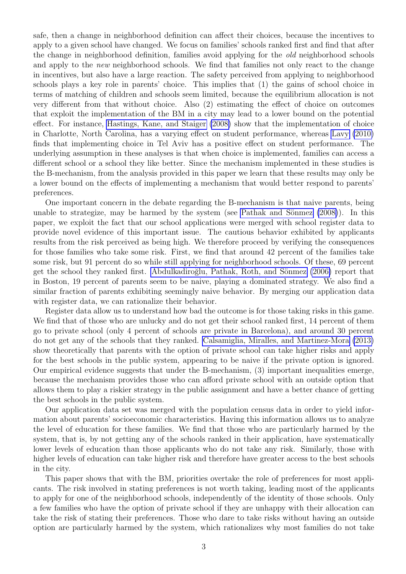safe, then a change in neighborhood definition can affect their choices, because the incentives to apply to a given school have changed. We focus on families' schools ranked first and find that after the change in neighborhood definition, families avoid applying for the old neighborhood schools and apply to the *new* neighborhood schools. We find that families not only react to the change in incentives, but also have a large reaction. The safety perceived from applying to neighborhood schools plays a key role in parents' choice. This implies that (1) the gains of school choice in terms of matching of children and schools seem limited, because the equilibrium allocation is not very different from that without choice. Also (2) estimating the effect of choice on outcomes that exploit the implementation of the BM in a city may lead to a lower bound on the potential effect. For instance, [Hastings, Kane, and Staiger](#page-29-6) [\(2008\)](#page-29-6) show that the implementation of choice in Charlotte, North Carolina, has a varying effect on student performance, whereas [Lavy](#page-29-8) [\(2010\)](#page-29-8) finds that implementing choice in Tel Aviv has a positive effect on student performance. The underlying assumption in these analyses is that when choice is implemented, families can access a different school or a school they like better. Since the mechanism implemented in these studies is the B-mechanism, from the analysis provided in this paper we learn that these results may only be a lower bound on the effects of implementing a mechanism that would better respond to parents' preferences.

One important concern in the debate regarding the B-mechanism is that naive parents, being unable to strategize, may be harmed by the system (see Pathak and Sönmez  $(2008)$ ). In this paper, we exploit the fact that our school applications were merged with school register data to provide novel evidence of this important issue. The cautious behavior exhibited by applicants results from the risk perceived as being high. We therefore proceed by verifying the consequences for those families who take some risk. First, we find that around 42 percent of the families take some risk, but 91 percent do so while still applying for neighborhood schools. Of these, 69 percent get the school they ranked first. Abdulkadiroğlu, Pathak, Roth, and Sönmez [\(2006\)](#page-28-16) report that in Boston, 19 percent of parents seem to be naive, playing a dominated strategy. We also find a similar fraction of parents exhibiting seemingly naive behavior. By merging our application data with register data, we can rationalize their behavior.

Register data allow us to understand how bad the outcome is for those taking risks in this game. We find that of those who are unlucky and do not get their school ranked first, 14 percent of them go to private school (only 4 percent of schools are private in Barcelona), and around 30 percent do not get any of the schools that they ranked. [Calsamiglia, Miralles, and Martinez-Mora](#page-28-17) [\(2013\)](#page-28-17) show theoretically that parents with the option of private school can take higher risks and apply for the best schools in the public system, appearing to be naive if the private option is ignored. Our empirical evidence suggests that under the B-mechanism, (3) important inequalities emerge, because the mechanism provides those who can afford private school with an outside option that allows them to play a riskier strategy in the public assignment and have a better chance of getting the best schools in the public system.

Our application data set was merged with the population census data in order to yield information about parents' socioeconomic characteristics. Having this information allows us to analyze the level of education for these families. We find that those who are particularly harmed by the system, that is, by not getting any of the schools ranked in their application, have systematically lower levels of education than those applicants who do not take any risk. Similarly, those with higher levels of education can take higher risk and therefore have greater access to the best schools in the city.

This paper shows that with the BM, priorities overtake the role of preferences for most applicants. The risk involved in stating preferences is not worth taking, leading most of the applicants to apply for one of the neighborhood schools, independently of the identity of those schools. Only a few families who have the option of private school if they are unhappy with their allocation can take the risk of stating their preferences. Those who dare to take risks without having an outside option are particularly harmed by the system, which rationalizes why most families do not take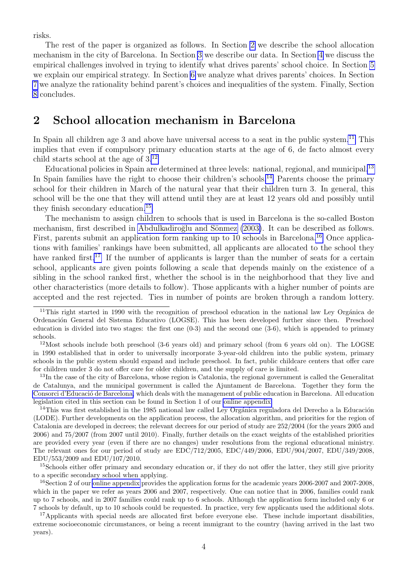risks.

The rest of the paper is organized as follows. In Section [2](#page-6-0) we describe the school allocation mechanism in the city of Barcelona. In Section [3](#page-7-0) we describe our data. In Section [4](#page-11-0) we discuss the empirical challenges involved in trying to identify what drives parents' school choice. In Section [5](#page-12-0) we explain our empirical strategy. In Section [6](#page-17-0) we analyze what drives parents' choices. In Section [7](#page-20-0) we analyze the rationality behind parent's choices and inequalities of the system. Finally, Section [8](#page-26-0) concludes.

### <span id="page-6-0"></span>2 School allocation mechanism in Barcelona

In Spain all children age 3 and above have universal access to a seat in the public system.<sup>[11](#page-6-1)</sup> This implies that even if compulsory primary education starts at the age of 6, de facto almost every child starts school at the age of 3.[12](#page-6-2)

Educational policies in Spain are determined at three levels: national, regional, and municipal.<sup>[13](#page-6-3)</sup> In Spain families have the right to choose their children's schools.<sup>[14](#page-6-4)</sup> Parents choose the primary school for their children in March of the natural year that their children turn 3. In general, this school will be the one that they will attend until they are at least 12 years old and possibly until they finish secondary education.[15](#page-6-5)

The mechanism to assign children to schools that is used in Barcelona is the so-called Boston mechanism, first described in Abdulkadiroğlu and Sönmez [\(2003\)](#page-28-0). It can be described as follows. First, parents submit an application form ranking up to 10 schools in Barcelona.<sup>[16](#page-6-6)</sup> Once applications with families' rankings have been submitted, all applicants are allocated to the school they have ranked first.<sup>[17](#page-6-7)</sup> If the number of applicants is larger than the number of seats for a certain school, applicants are given points following a scale that depends mainly on the existence of a sibling in the school ranked first, whether the school is in the neighborhood that they live and other characteristics (more details to follow). Those applicants with a higher number of points are accepted and the rest rejected. Ties in number of points are broken through a random lottery.

<span id="page-6-3"></span><sup>13</sup>In the case of the city of Barcelona, whose region is Catalonia, the regional government is called the Generalitat de Catalunya, and the municipal government is called the Ajuntament de Barcelona. Together they form the Consorci d'Educació de Barcelona, which deals with the management of public education in Barcelona. All education legislation cited in this section can be found in Section 1 of our [online appendix.](http://www.maiaguell.com/SchoolsBCN/OnlineAppendixChoiceBarcelona.pdf)

<span id="page-6-4"></span> $14$ This was first established in the 1985 national law called Ley Orgánica reguladora del Derecho a la Educación (LODE). Further developments on the application process, the allocation algorithm, and priorities for the region of Catalonia are developed in decrees; the relevant decrees for our period of study are 252/2004 (for the years 2005 and 2006) and 75/2007 (from 2007 until 2010). Finally, further details on the exact weights of the established priorities are provided every year (even if there are no changes) under resolutions from the regional educational ministry. The relevant ones for our period of study are EDC/712/2005, EDC/449/2006, EDU/904/2007, EDU/349/2008, EDU/553/2009 and EDU/107/2010.

<span id="page-6-5"></span><sup>15</sup>Schools either offer primary and secondary education or, if they do not offer the latter, they still give priority to a specific secondary school when applying.

<span id="page-6-6"></span><sup>16</sup>Section 2 of our [online appendix](http://www.maiaguell.com/SchoolsBCN/OnlineAppendixChoiceBarcelona.pdf) provides the application forms for the academic years 2006-2007 and 2007-2008, which in the paper we refer as years 2006 and 2007, respectively. One can notice that in 2006, families could rank up to 7 schools, and in 2007 families could rank up to 6 schools. Although the application form included only 6 or 7 schools by default, up to 10 schools could be requested. In practice, very few applicants used the additional slots.

<span id="page-6-7"></span><sup>17</sup>Applicants with special needs are allocated first before everyone else. These include important disabilities, extreme socioeconomic circumstances, or being a recent immigrant to the country (having arrived in the last two years).

<span id="page-6-1"></span> $11$ This right started in 1990 with the recognition of preschool education in the national law Ley Orgánica de Ordenación General del Sistema Educativo (LOGSE). This has been developed further since then. Preschool education is divided into two stages: the first one  $(0-3)$  and the second one  $(3-6)$ , which is appended to primary schools.

<span id="page-6-2"></span><sup>&</sup>lt;sup>12</sup>Most schools include both preschool (3-6 years old) and primary school (from 6 years old on). The LOGSE in 1990 established that in order to universally incorporate 3-year-old children into the public system, primary schools in the public system should expand and include preschool. In fact, public childcare centers that offer care for children under 3 do not offer care for older children, and the supply of care is limited.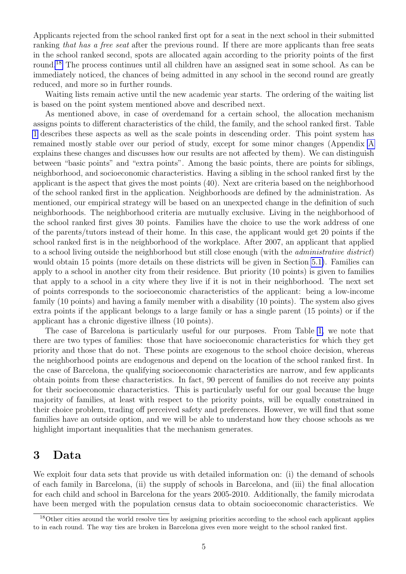Applicants rejected from the school ranked first opt for a seat in the next school in their submitted ranking that has a free seat after the previous round. If there are more applicants than free seats in the school ranked second, spots are allocated again according to the priority points of the first round.[18](#page-7-1) The process continues until all children have an assigned seat in some school. As can be immediately noticed, the chances of being admitted in any school in the second round are greatly reduced, and more so in further rounds.

Waiting lists remain active until the new academic year starts. The ordering of the waiting list is based on the point system mentioned above and described next.

As mentioned above, in case of overdemand for a certain school, the allocation mechanism assigns points to different characteristics of the child, the family, and the school ranked first. Table [1](#page-8-0) describes these aspects as well as the scale points in descending order. This point system has remained mostly stable over our period of study, except for some minor changes (Appendix [A](#page-30-0) explains these changes and discusses how our results are not affected by them). We can distinguish between "basic points" and "extra points". Among the basic points, there are points for siblings, neighborhood, and socioeconomic characteristics. Having a sibling in the school ranked first by the applicant is the aspect that gives the most points (40). Next are criteria based on the neighborhood of the school ranked first in the application. Neighborhoods are defined by the administration. As mentioned, our empirical strategy will be based on an unexpected change in the definition of such neighborhoods. The neighborhood criteria are mutually exclusive. Living in the neighborhood of the school ranked first gives 30 points. Families have the choice to use the work address of one of the parents/tutors instead of their home. In this case, the applicant would get 20 points if the school ranked first is in the neighborhood of the workplace. After 2007, an applicant that applied to a school living outside the neighborhood but still close enough (with the administrative district) would obtain 15 points (more details on these districts will be given in Section [5.1\)](#page-13-0). Families can apply to a school in another city from their residence. But priority (10 points) is given to families that apply to a school in a city where they live if it is not in their neighborhood. The next set of points corresponds to the socioeconomic characteristics of the applicant: being a low-income family (10 points) and having a family member with a disability (10 points). The system also gives extra points if the applicant belongs to a large family or has a single parent (15 points) or if the applicant has a chronic digestive illness (10 points).

The case of Barcelona is particularly useful for our purposes. From Table [1,](#page-8-0) we note that there are two types of families: those that have socioeconomic characteristics for which they get priority and those that do not. These points are exogenous to the school choice decision, whereas the neighborhood points are endogenous and depend on the location of the school ranked first. In the case of Barcelona, the qualifying socioeconomic characteristics are narrow, and few applicants obtain points from these characteristics. In fact, 90 percent of families do not receive any points for their socioeconomic characteristics. This is particularly useful for our goal because the huge majority of families, at least with respect to the priority points, will be equally constrained in their choice problem, trading off perceived safety and preferences. However, we will find that some families have an outside option, and we will be able to understand how they choose schools as we highlight important inequalities that the mechanism generates.

#### <span id="page-7-0"></span>3 Data

We exploit four data sets that provide us with detailed information on: (i) the demand of schools of each family in Barcelona, (ii) the supply of schools in Barcelona, and (iii) the final allocation for each child and school in Barcelona for the years 2005-2010. Additionally, the family microdata have been merged with the population census data to obtain socioeconomic characteristics. We

<span id="page-7-1"></span><sup>18</sup>Other cities around the world resolve ties by assigning priorities according to the school each applicant applies to in each round. The way ties are broken in Barcelona gives even more weight to the school ranked first.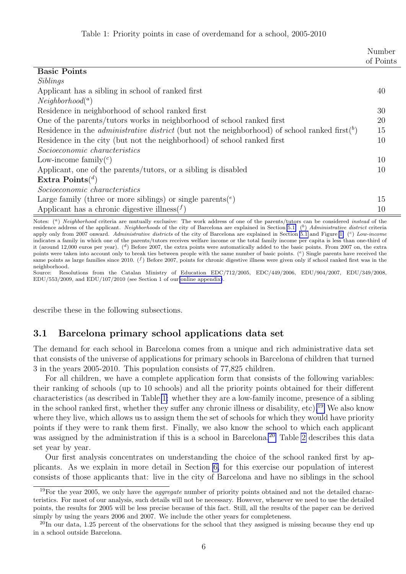| Table 1: Priority points in case of overdemand for a school, 2005-2010 |  |  |  |  |  |  |
|------------------------------------------------------------------------|--|--|--|--|--|--|
|------------------------------------------------------------------------|--|--|--|--|--|--|

<span id="page-8-0"></span>

|                                                                                                                   | Number<br>of Points |
|-------------------------------------------------------------------------------------------------------------------|---------------------|
| <b>Basic Points</b>                                                                                               |                     |
| Siblings                                                                                                          |                     |
| Applicant has a sibling in school of ranked first                                                                 | 40                  |
| Neighbourhood <sup>(a)</sup>                                                                                      |                     |
| Residence in neighborhood of school ranked first                                                                  | 30                  |
| One of the parents/tutors works in neighborhood of school ranked first                                            | 20                  |
| Residence in the <i>administrative district</i> (but not the neighborhood) of school ranked first( <sup>b</sup> ) | 15                  |
| Residence in the city (but not the neighborhood) of school ranked first                                           | 10                  |
| Socioeconomic characteristics                                                                                     |                     |
| Low-income family $({}^c)$                                                                                        | 10                  |
| Applicant, one of the parents/tutors, or a sibling is disabled                                                    | 10                  |
| Extra $\text{Points}^{(d)}$                                                                                       |                     |
| Socioeconomic characteristics                                                                                     |                     |
| Large family (three or more siblings) or single parents( $e$ )                                                    | 15                  |
| Applicant has a chronic digestive illness( $f$ )                                                                  | 10                  |

Notes: (<sup>a</sup>) Neighborhood criteria are mutually exclusive: The work address of one of the parents/tutors can be considered instead of the residence address of the applicant. Neighborhoods of the city of Barcelona are explained in Section [5.1.](#page-13-0)  $(b)$  Administrative district criteria apply only from 2007 onward. Administrative districts of the city of Barcelona are explained in Section [5.1](#page-13-0) and Figure [1.](#page-13-1)  $(c)$  Low-income indicates a family in which one of the parents/tutors receives welfare income or the total family income per capita is less than one-third of it (around 12,000 euros per year).  $\binom{d}{k}$  Before 2007, the extra points were automatically added to the basic points. From 2007 on, the extra points were taken into account only to break ties between people with the same number of basic points. (<sup>e</sup>) Single parents have received the same points as large families since 2010.  $(f)$  Before 2007, points for chronic digestive illness were given only if school ranked first was in the neighborhood.

Source: Resolutions from the Catalan Ministry of Education EDC/712/2005, EDC/449/2006, EDU/904/2007, EDU/349/2008,  $EDU/553/2009$ , and  $EDU/107/2010$  (see Section 1 of our [online appendix\)](http://www.maiaguell.com/SchoolsBCN/OnlineAppendixChoiceBarcelona.pdf).

describe these in the following subsections.

#### <span id="page-8-3"></span>3.1 Barcelona primary school applications data set

The demand for each school in Barcelona comes from a unique and rich administrative data set that consists of the universe of applications for primary schools in Barcelona of children that turned 3 in the years 2005-2010. This population consists of 77,825 children.

For all children, we have a complete application form that consists of the following variables: their ranking of schools (up to 10 schools) and all the priority points obtained for their different characteristics (as described in Table [1:](#page-8-0) whether they are a low-family income, presence of a sibling in the school ranked first, whether they suffer any chronic illness or disability, etc).<sup>[19](#page-8-1)</sup> We also know where they live, which allows us to assign them the set of schools for which they would have priority points if they were to rank them first. Finally, we also know the school to which each applicant was assigned by the administration if this is a school in Barcelona.<sup>[20](#page-8-2)</sup> Table [2](#page-9-0) describes this data set year by year.

Our first analysis concentrates on understanding the choice of the school ranked first by applicants. As we explain in more detail in Section [6,](#page-17-0) for this exercise our population of interest consists of those applicants that: live in the city of Barcelona and have no siblings in the school

<span id="page-8-1"></span><sup>&</sup>lt;sup>19</sup>For the year 2005, we only have the *aggregate* number of priority points obtained and not the detailed characteristics. For most of our analysis, such details will not be necessary. However, whenever we need to use the detailed points, the results for 2005 will be less precise because of this fact. Still, all the results of the paper can be derived simply by using the years 2006 and 2007. We include the other years for completeness.

<span id="page-8-2"></span> $^{20}$ In our data, 1.25 percent of the observations for the school that they assigned is missing because they end up in a school outside Barcelona.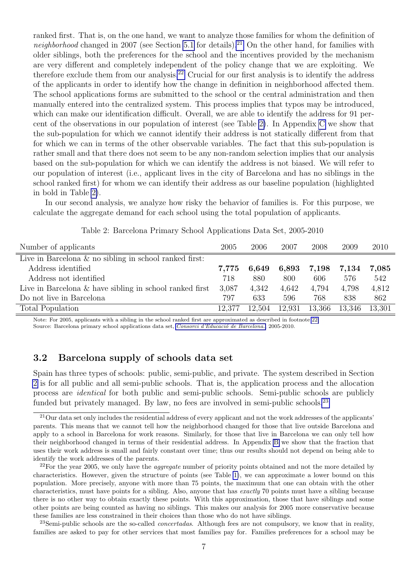ranked first. That is, on the one hand, we want to analyze those families for whom the definition of neighborhood changed in 2007 (see Section [5.1](#page-13-0) for details).<sup>[21](#page-9-1)</sup> On the other hand, for families with older siblings, both the preferences for the school and the incentives provided by the mechanism are very different and completely independent of the policy change that we are exploiting. We therefore exclude them from our analysis.[22](#page-9-2) Crucial for our first analysis is to identify the address of the applicants in order to identify how the change in definition in neighborhood affected them. The school applications forms are submitted to the school or the central administration and then manually entered into the centralized system. This process implies that typos may be introduced, which can make our identification difficult. Overall, we are able to identify the address for 91 percent of the observations in our population of interest (see Table [2\)](#page-9-0). In Appendix [C](#page-31-0) we show that the sub-population for which we cannot identify their address is not statically different from that for which we can in terms of the other observable variables. The fact that this sub-population is rather small and that there does not seem to be any non-random selection implies that our analysis based on the sub-population for which we can identify the address is not biased. We will refer to our population of interest (i.e., applicant lives in the city of Barcelona and has no siblings in the school ranked first) for whom we can identify their address as our baseline population (highlighted in bold in Table [2\)](#page-9-0).

<span id="page-9-0"></span>In our second analysis, we analyze how risky the behavior of families is. For this purpose, we calculate the aggregate demand for each school using the total population of applicants.

| Number of applicants                                       | 2005   | 2006   | 2007   | 2008   | 2009   | 2010   |
|------------------------------------------------------------|--------|--------|--------|--------|--------|--------|
| Live in Barcelona $\&$ no sibling in school ranked first:  |        |        |        |        |        |        |
| Address identified                                         | 7,775  | 6,649  | 6,893  | 7,198  | 7,134  | 7,085  |
| Address not identified                                     | 718    | 880    | 800    | 606    | 576    | 542    |
| Live in Barcelona $\&$ have sibling in school ranked first | 3,087  | 4,342  | 4,642  | 4,794  | 4,798  | 4,812  |
| Do not live in Barcelona                                   | 797    | 633    | 596    | 768    | 838    | 862    |
| Total Population                                           | 12,377 | 12,504 | 12,931 | 13,366 | 13.346 | 13,301 |

Table 2: Barcelona Primary School Applications Data Set, 2005-2010

Note: For 2005, applicants with a sibling in the school ranked first are approximated as described in footnote [22.](#page-9-2)

Source: Barcelona primary school applications data set, Consorci d'Educació de Barcelona., 2005-2010.

#### <span id="page-9-4"></span>3.2 Barcelona supply of schools data set

Spain has three types of schools: public, semi-public, and private. The system described in Section [2](#page-6-0) is for all public and all semi-public schools. That is, the application process and the allocation process are identical for both public and semi-public schools. Semi-public schools are publicly funded but privately managed. By law, no fees are involved in semi-public schools.<sup>[23](#page-9-3)</sup>

<span id="page-9-3"></span> $^{23}$ Semi-public schools are the so-called *concertadas*. Although fees are not compulsory, we know that in reality, families are asked to pay for other services that most families pay for. Families preferences for a school may be

<span id="page-9-1"></span><sup>&</sup>lt;sup>21</sup>Our data set only includes the residential address of every applicant and not the work addresses of the applicants' parents. This means that we cannot tell how the neighborhood changed for those that live outside Barcelona and apply to a school in Barcelona for work reasons. Similarly, for those that live in Barcelona we can only tell how their neighborhood changed in terms of their residential address. In Appendix [B](#page-31-1) we show that the fraction that uses their work address is small and fairly constant over time; thus our results should not depend on being able to identify the work addresses of the parents.

<span id="page-9-2"></span> $^{22}$ For the year 2005, we only have the *aggregate* number of priority points obtained and not the more detailed by characteristics. However, given the structure of points (see Table [1\)](#page-8-0), we can approximate a lower bound on this population. More precisely, anyone with more than 75 points, the maximum that one can obtain with the other characteristics, must have points for a sibling. Also, anyone that has exactly 70 points must have a sibling because there is no other way to obtain exactly these points. With this approximation, those that have siblings and some other points are being counted as having no siblings. This makes our analysis for 2005 more conservative because these families are less constrained in their choices than those who do not have siblings.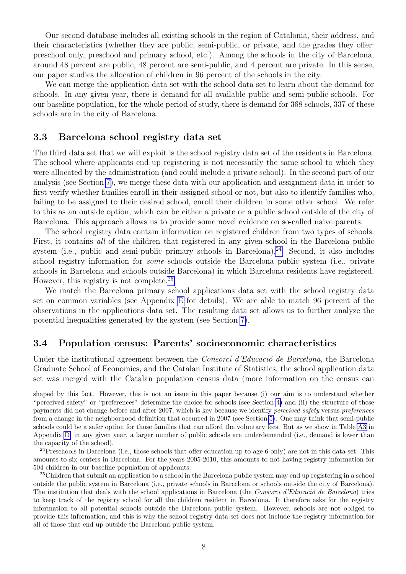Our second database includes all existing schools in the region of Catalonia, their address, and their characteristics (whether they are public, semi-public, or private, and the grades they offer: preschool only, preschool and primary school, etc.). Among the schools in the city of Barcelona, around 48 percent are public, 48 percent are semi-public, and 4 percent are private. In this sense, our paper studies the allocation of children in 96 percent of the schools in the city.

We can merge the application data set with the school data set to learn about the demand for schools. In any given year, there is demand for all available public and semi-public schools. For our baseline population, for the whole period of study, there is demand for 368 schools, 337 of these schools are in the city of Barcelona.

#### <span id="page-10-2"></span>3.3 Barcelona school registry data set

The third data set that we will exploit is the school registry data set of the residents in Barcelona. The school where applicants end up registering is not necessarily the same school to which they were allocated by the administration (and could include a private school). In the second part of our analysis (see Section [7\)](#page-20-0), we merge these data with our application and assignment data in order to first verify whether families enroll in their assigned school or not, but also to identify families who, failing to be assigned to their desired school, enroll their children in some other school. We refer to this as an outside option, which can be either a private or a public school outside of the city of Barcelona. This approach allows us to provide some novel evidence on so-called naive parents.

The school registry data contain information on registered children from two types of schools. First, it contains all of the children that registered in any given school in the Barcelona public system (i.e., public and semi-public primary schools in Barcelona).<sup>[24](#page-10-0)</sup> Second, it also includes school registry information for some schools outside the Barcelona public system (i.e., private schools in Barcelona and schools outside Barcelona) in which Barcelona residents have registered. However, this registry is not complete.[25](#page-10-1)

We match the Barcelona primary school applications data set with the school registry data set on common variables (see Appendix [E](#page-33-0) for details). We are able to match 96 percent of the observations in the applications data set. The resulting data set allows us to further analyze the potential inequalities generated by the system (see Section [7\)](#page-20-0).

#### <span id="page-10-3"></span>3.4 Population census: Parents' socioeconomic characteristics

Under the institutional agreement between the *Consorci d'Educació de Barcelona*, the Barcelona Graduate School of Economics, and the Catalan Institute of Statistics, the school application data set was merged with the Catalan population census data (more information on the census can

shaped by this fact. However, this is not an issue in this paper because (i) our aim is to understand whether "perceived safety" or "preferences" determine the choice for schools (see Section [4\)](#page-11-0) and (ii) the structure of these payments did not change before and after 2007, which is key because we identify perceived safety versus preferences from a change in the neighborhood definition that occurred in 2007 (see Section [5\)](#page-12-0). One may think that semi-public schools could be a safer option for those families that can afford the voluntary fees. But as we show in Table [A3](#page-33-1) in Appendix [D,](#page-32-0) in any given year, a larger number of public schools are underdemanded (i.e., demand is lower than the capacity of the school).

<span id="page-10-0"></span><sup>&</sup>lt;sup>24</sup>Preschools in Barcelona (i.e., those schools that offer education up to age 6 only) are not in this data set. This amounts to six centers in Barcelona. For the years 2005-2010, this amounts to not having registry information for 504 children in our baseline population of applicants.

<span id="page-10-1"></span><sup>&</sup>lt;sup>25</sup>Children that submit an application to a school in the Barcelona public system may end up registering in a school outside the public system in Barcelona (i.e., private schools in Barcelona or schools outside the city of Barcelona). The institution that deals with the school applications in Barcelona (the Consorci d'Educació de Barcelona) tries to keep track of the registry school for all the children resident in Barcelona. It therefore asks for the registry information to all potential schools outside the Barcelona public system. However, schools are not obliged to provide this information, and this is why the school registry data set does not include the registry information for all of those that end up outside the Barcelona public system.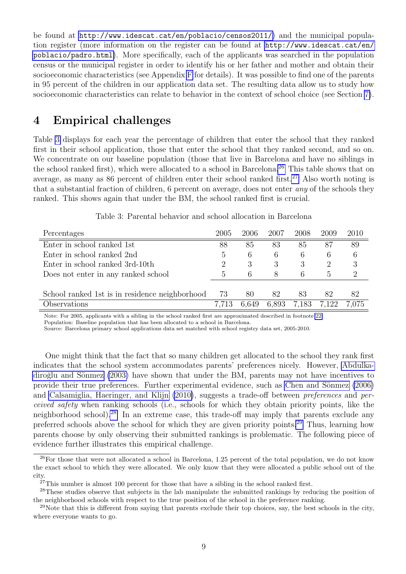be found at <http://www.idescat.cat/en/poblacio/censos2011/>) and the municipal population register (more information on the register can be found at [http://www.idescat.cat/en/](http://www.idescat.cat/en/poblacio/padro.html) [poblacio/padro.html](http://www.idescat.cat/en/poblacio/padro.html)). More specifically, each of the applicants was searched in the population census or the municipal register in order to identify his or her father and mother and obtain their socioeconomic characteristics (see Appendix [F](#page-34-0) for details). It was possible to find one of the parents in 95 percent of the children in our application data set. The resulting data allow us to study how socioeconomic characteristics can relate to behavior in the context of school choice (see Section [7\)](#page-20-0).

### <span id="page-11-0"></span>4 Empirical challenges

Table [3](#page-11-1) displays for each year the percentage of children that enter the school that they ranked first in their school application, those that enter the school that they ranked second, and so on. We concentrate on our baseline population (those that live in Barcelona and have no siblings in the school ranked first), which were allocated to a school in Barcelona.<sup>[26](#page-11-2)</sup> This table shows that on average, as many as 86 percent of children enter their school ranked first.<sup>[27](#page-11-3)</sup> Also worth noting is that a substantial fraction of children, 6 percent on average, does not enter any of the schools they ranked. This shows again that under the BM, the school ranked first is crucial.

<span id="page-11-1"></span>

| Percentages                                    | 2005          | 2006  | 2007  | 2008  | 2009          | 2010  |
|------------------------------------------------|---------------|-------|-------|-------|---------------|-------|
| Enter in school ranked 1st                     | 88            | 85    | 83    | 85    | 87            | 89    |
| Enter in school ranked 2nd                     | $\ddot{o}$    | 6     | 6     | 6     | 6             | 6     |
| Enter in school ranked 3rd-10th                |               | 3     | 3     | 3     |               | 3     |
| Does not enter in any ranked school            | $\mathfrak h$ | 6     | 8     | 6     | $\mathfrak h$ |       |
|                                                |               |       |       |       |               |       |
| School ranked 1st is in residence neighborhood | 73            | 80    | 82    | 83    | 82            | 82    |
| Observations                                   | 7.713         | 6.649 | 6.893 | 7,183 | 7.122         | 7.075 |

Table 3: Parental behavior and school allocation in Barcelona

Note: For 2005, applicants with a sibling in the school ranked first are approximated described in footnote [22.](#page-9-2)

Population: Baseline population that has been allocated to a school in Barcelona.

Source: Barcelona primary school applications data set matched with school registry data set, 2005-2010.

One might think that the fact that so many children get allocated to the school they rank first indicates that the school system accommodates parents' preferences nicely. However, [Abdulka-](#page-28-0)diroğlu and Sönmez [\(2003\)](#page-28-0) have shown that under the BM, parents may not have incentives to provide their true preferences. Further experimental evidence, such as Chen and Sönmez [\(2006\)](#page-28-13) and [Calsamiglia, Haeringer, and Klijn](#page-28-14) [\(2010\)](#page-28-14), suggests a trade-off between *preferences* and *per*ceived safety when ranking schools (i.e., schools for which they obtain priority points, like the neighborhood school).[28](#page-11-4) In an extreme case, this trade-off may imply that parents exclude any preferred schools above the school for which they are given priority points.[29](#page-11-5) Thus, learning how parents choose by only observing their submitted rankings is problematic. The following piece of evidence further illustrates this empirical challenge.

<span id="page-11-2"></span><sup>26</sup>For those that were not allocated a school in Barcelona, 1.25 percent of the total population, we do not know the exact school to which they were allocated. We only know that they were allocated a public school out of the city.

<span id="page-11-4"></span><span id="page-11-3"></span> $27$ This number is almost 100 percent for those that have a sibling in the school ranked first.

<sup>&</sup>lt;sup>28</sup>These studies observe that subjects in the lab manipulate the submitted rankings by reducing the position of the neighborhood schools with respect to the true position of the school in the preference ranking.

<span id="page-11-5"></span><sup>&</sup>lt;sup>29</sup>Note that this is different from saying that parents exclude their top choices, say, the best schools in the city, where everyone wants to go.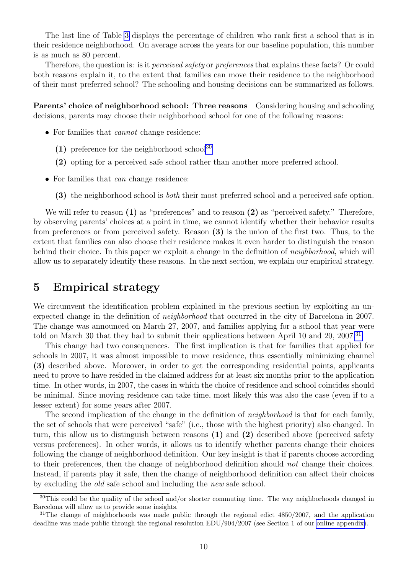The last line of Table [3](#page-11-1) displays the percentage of children who rank first a school that is in their residence neighborhood. On average across the years for our baseline population, this number is as much as 80 percent.

Therefore, the question is: is it *perceived safety* or *preferences* that explains these facts? Or could both reasons explain it, to the extent that families can move their residence to the neighborhood of their most preferred school? The schooling and housing decisions can be summarized as follows.

Parents' choice of neighborhood school: Three reasons Considering housing and schooling decisions, parents may choose their neighborhood school for one of the following reasons:

- For families that *cannot* change residence:
	- (1) preference for the neighborhood school<sup>[30](#page-12-1)</sup>
	- (2) opting for a perceived safe school rather than another more preferred school.
- For families that *can* change residence:
	- (3) the neighborhood school is both their most preferred school and a perceived safe option.

We will refer to reason (1) as "preferences" and to reason (2) as "perceived safety." Therefore, by observing parents' choices at a point in time, we cannot identify whether their behavior results from preferences or from perceived safety. Reason (3) is the union of the first two. Thus, to the extent that families can also choose their residence makes it even harder to distinguish the reason behind their choice. In this paper we exploit a change in the definition of neighborhood, which will allow us to separately identify these reasons. In the next section, we explain our empirical strategy.

#### <span id="page-12-0"></span>5 Empirical strategy

We circumvent the identification problem explained in the previous section by exploiting an unexpected change in the definition of neighborhood that occurred in the city of Barcelona in 2007. The change was announced on March 27, 2007, and families applying for a school that year were told on March 30 that they had to submit their applications between April 10 and 20, 2007.<sup>[31](#page-12-2)</sup>

This change had two consequences. The first implication is that for families that applied for schools in 2007, it was almost impossible to move residence, thus essentially minimizing channel (3) described above. Moreover, in order to get the corresponding residential points, applicants need to prove to have resided in the claimed address for at least six months prior to the application time. In other words, in 2007, the cases in which the choice of residence and school coincides should be minimal. Since moving residence can take time, most likely this was also the case (even if to a lesser extent) for some years after 2007.

The second implication of the change in the definition of *neighborhood* is that for each family, the set of schools that were perceived "safe" (i.e., those with the highest priority) also changed. In turn, this allow us to distinguish between reasons (1) and (2) described above (perceived safety versus preferences). In other words, it allows us to identify whether parents change their choices following the change of neighborhood definition. Our key insight is that if parents choose according to their preferences, then the change of neighborhood definition should not change their choices. Instead, if parents play it safe, then the change of neighborhood definition can affect their choices by excluding the old safe school and including the new safe school.

<span id="page-12-1"></span> $30$ This could be the quality of the school and/or shorter commuting time. The way neighborhoods changed in Barcelona will allow us to provide some insights.

<span id="page-12-2"></span><sup>&</sup>lt;sup>31</sup>The change of neighborhoods was made public through the regional edict  $4850/2007$ , and the application deadline was made public through the regional resolution EDU/904/2007 (see Section 1 of our [online appendix\)](http://www.maiaguell.com/SchoolsBCN/OnlineAppendixChoiceBarcelona.pdf).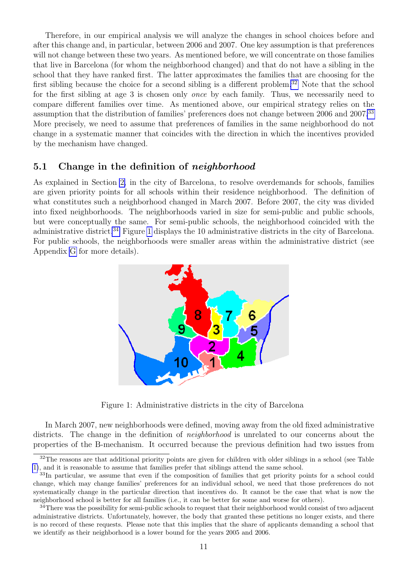Therefore, in our empirical analysis we will analyze the changes in school choices before and after this change and, in particular, between 2006 and 2007. One key assumption is that preferences will not change between these two years. As mentioned before, we will concentrate on those families that live in Barcelona (for whom the neighborhood changed) and that do not have a sibling in the school that they have ranked first. The latter approximates the families that are choosing for the first sibling because the choice for a second sibling is a different problem.<sup>[32](#page-13-2)</sup> Note that the school for the first sibling at age 3 is chosen only *once* by each family. Thus, we necessarily need to compare different families over time. As mentioned above, our empirical strategy relies on the assumption that the distribution of families' preferences does not change between 2006 and 2007.<sup>[33](#page-13-3)</sup> More precisely, we need to assume that preferences of families in the same neighborhood do not change in a systematic manner that coincides with the direction in which the incentives provided by the mechanism have changed.

#### <span id="page-13-0"></span>5.1 Change in the definition of *neighborhood*

As explained in Section [2,](#page-6-0) in the city of Barcelona, to resolve overdemands for schools, families are given priority points for all schools within their residence neighborhood. The definition of what constitutes such a neighborhood changed in March 2007. Before 2007, the city was divided into fixed neighborhoods. The neighborhoods varied in size for semi-public and public schools, but were conceptually the same. For semi-public schools, the neighborhood coincided with the administrative district.<sup>[34](#page-13-4)</sup> Figure [1](#page-13-1) displays the 10 administrative districts in the city of Barcelona. For public schools, the neighborhoods were smaller areas within the administrative district (see Appendix [G](#page-35-0) for more details).

<span id="page-13-1"></span>

Figure 1: Administrative districts in the city of Barcelona

In March 2007, new neighborhoods were defined, moving away from the old fixed administrative districts. The change in the definition of *neighborhood* is unrelated to our concerns about the properties of the B-mechanism. It occurred because the previous definition had two issues from

<span id="page-13-2"></span><sup>&</sup>lt;sup>32</sup>The reasons are that additional priority points are given for children with older siblings in a school (see Table [1\)](#page-8-0), and it is reasonable to assume that families prefer that siblings attend the same school.

<span id="page-13-3"></span><sup>&</sup>lt;sup>33</sup>In particular, we assume that even if the composition of families that get priority points for a school could change, which may change families' preferences for an individual school, we need that those preferences do not systematically change in the particular direction that incentives do. It cannot be the case that what is now the neighborhood school is better for all families (i.e., it can be better for some and worse for others).

<span id="page-13-4"></span><sup>&</sup>lt;sup>34</sup>There was the possibility for semi-public schools to request that their neighborhood would consist of two adjacent administrative districts. Unfortunately, however, the body that granted these petitions no longer exists, and there is no record of these requests. Please note that this implies that the share of applicants demanding a school that we identify as their neighborhood is a lower bound for the years 2005 and 2006.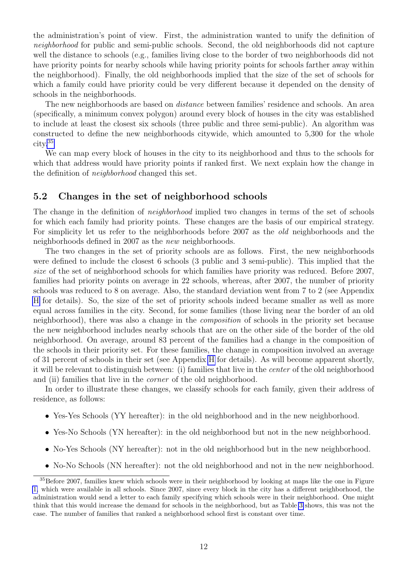the administration's point of view. First, the administration wanted to unify the definition of neighborhood for public and semi-public schools. Second, the old neighborhoods did not capture well the distance to schools (e.g., families living close to the border of two neighborhoods did not have priority points for nearby schools while having priority points for schools farther away within the neighborhood). Finally, the old neighborhoods implied that the size of the set of schools for which a family could have priority could be very different because it depended on the density of schools in the neighborhoods.

The new neighborhoods are based on *distance* between families' residence and schools. An area (specifically, a minimum convex polygon) around every block of houses in the city was established to include at least the closest six schools (three public and three semi-public). An algorithm was constructed to define the new neighborhoods citywide, which amounted to 5,300 for the whole city.[35](#page-14-0)

We can map every block of houses in the city to its neighborhood and thus to the schools for which that address would have priority points if ranked first. We next explain how the change in the definition of neighborhood changed this set.

#### <span id="page-14-1"></span>5.2 Changes in the set of neighborhood schools

The change in the definition of *neighborhood* implied two changes in terms of the set of schools for which each family had priority points. These changes are the basis of our empirical strategy. For simplicity let us refer to the neighborhoods before 2007 as the old neighborhoods and the neighborhoods defined in 2007 as the new neighborhoods.

The two changes in the set of priority schools are as follows. First, the new neighborhoods were defined to include the closest 6 schools (3 public and 3 semi-public). This implied that the size of the set of neighborhood schools for which families have priority was reduced. Before 2007, families had priority points on average in 22 schools, whereas, after 2007, the number of priority schools was reduced to 8 on average. Also, the standard deviation went from 7 to 2 (see Appendix [H](#page-36-0) for details). So, the size of the set of priority schools indeed became smaller as well as more equal across families in the city. Second, for some families (those living near the border of an old neighborhood), there was also a change in the composition of schools in the priority set because the new neighborhood includes nearby schools that are on the other side of the border of the old neighborhood. On average, around 83 percent of the families had a change in the composition of the schools in their priority set. For these families, the change in composition involved an average of 31 percent of schools in their set (see Appendix [H](#page-36-0) for details). As will become apparent shortly, it will be relevant to distinguish between: (i) families that live in the center of the old neighborhood and (ii) families that live in the corner of the old neighborhood.

In order to illustrate these changes, we classify schools for each family, given their address of residence, as follows:

- Yes-Yes Schools (YY hereafter): in the old neighborhood and in the new neighborhood.
- Yes-No Schools (YN hereafter): in the old neighborhood but not in the new neighborhood.
- No-Yes Schools (NY hereafter): not in the old neighborhood but in the new neighborhood.
- No-No Schools (NN hereafter): not the old neighborhood and not in the new neighborhood.

<span id="page-14-0"></span><sup>&</sup>lt;sup>35</sup>Before 2007, families knew which schools were in their neighborhood by looking at maps like the one in Figure [1,](#page-13-1) which were available in all schools. Since 2007, since every block in the city has a different neighborhood, the administration would send a letter to each family specifying which schools were in their neighborhood. One might think that this would increase the demand for schools in the neighborhood, but as Table [3](#page-11-1) shows, this was not the case. The number of families that ranked a neighborhood school first is constant over time.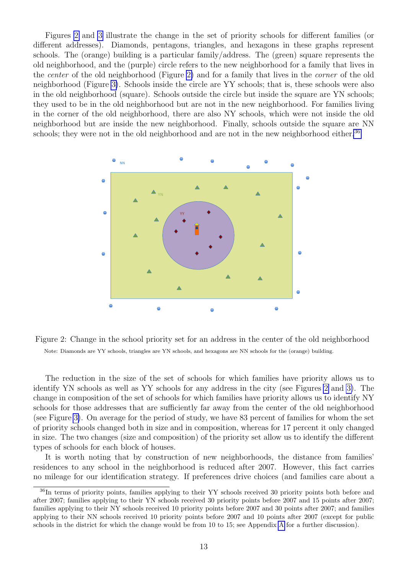Figures [2](#page-15-0) and [3](#page-16-0) illustrate the change in the set of priority schools for different families (or different addresses). Diamonds, pentagons, triangles, and hexagons in these graphs represent schools. The (orange) building is a particular family/address. The (green) square represents the old neighborhood, and the (purple) circle refers to the new neighborhood for a family that lives in the center of the old neighborhood (Figure [2\)](#page-15-0) and for a family that lives in the corner of the old neighborhood (Figure [3\)](#page-16-0). Schools inside the circle are YY schools; that is, these schools were also in the old neighborhood (square). Schools outside the circle but inside the square are YN schools; they used to be in the old neighborhood but are not in the new neighborhood. For families living in the corner of the old neighborhood, there are also NY schools, which were not inside the old neighborhood but are inside the new neighborhood. Finally, schools outside the square are NN schools; they were not in the old neighborhood and are not in the new neighborhood either.<sup>[36](#page-15-1)</sup>

<span id="page-15-0"></span>



The reduction in the size of the set of schools for which families have priority allows us to identify YN schools as well as YY schools for any address in the city (see Figures [2](#page-15-0) and [3\)](#page-16-0). The change in composition of the set of schools for which families have priority allows us to identify NY schools for those addresses that are sufficiently far away from the center of the old neighborhood (see Figure [3\)](#page-16-0). On average for the period of study, we have 83 percent of families for whom the set of priority schools changed both in size and in composition, whereas for 17 percent it only changed in size. The two changes (size and composition) of the priority set allow us to identify the different types of schools for each block of houses.

It is worth noting that by construction of new neighborhoods, the distance from families' residences to any school in the neighborhood is reduced after 2007. However, this fact carries no mileage for our identification strategy. If preferences drive choices (and families care about a

<span id="page-15-1"></span><sup>&</sup>lt;sup>36</sup>In terms of priority points, families applying to their YY schools received 30 priority points both before and after 2007; families applying to their YN schools received 30 priority points before 2007 and 15 points after 2007; families applying to their NY schools received 10 priority points before 2007 and 30 points after 2007; and families applying to their NN schools received 10 priority points before 2007 and 10 points after 2007 (except for public schools in the district for which the change would be from 10 to 15; see Appendix [A](#page-30-0) for a further discussion).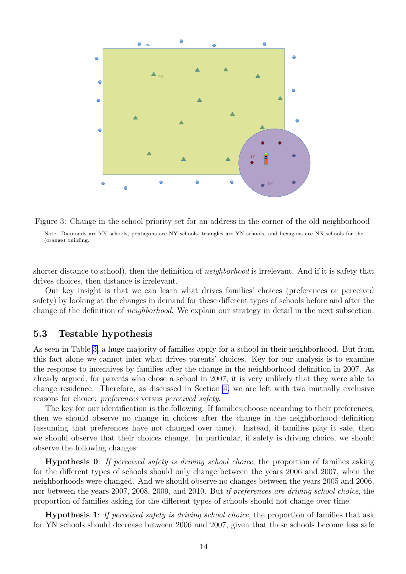<span id="page-16-0"></span>

Figure 3: Change in the school priority set for an address in the corner of the old neighborhood Note: Diamonds are YY schools, pentagons are NY schools, triangles are YN schools, and hexagons are NN schools for the (orange) building.

shorter distance to school), then the definition of neighborhood is irrelevant. And if it is safety that drives choices, then distance is irrelevant.

Our key insight is that we can learn what drives families' choices (preferences or perceived safety) by looking at the changes in demand for these different types of schools before and after the change of the definition of neighborhood. We explain our strategy in detail in the next subsection.

#### <span id="page-16-1"></span>5.3 Testable hypothesis

As seen in Table [3,](#page-11-1) a huge majority of families apply for a school in their neighborhood. But from this fact alone we cannot infer what drives parents' choices. Key for our analysis is to examine the response to incentives by families after the change in the neighborhood definition in 2007. As already argued, for parents who chose a school in 2007, it is very unlikely that they were able to change residence. Therefore, as discussed in Section [4,](#page-11-0) we are left with two mutually exclusive reasons for choice: preferences versus perceived safety.

The key for our identification is the following. If families choose according to their preferences, then we should observe no change in choices after the change in the neighborhood definition (assuming that preferences have not changed over time). Instead, if families play it safe, then we should observe that their choices change. In particular, if safety is driving choice, we should observe the following changes:

Hypothesis 0: If perceived safety is driving school choice, the proportion of families asking for the different types of schools should only change between the years 2006 and 2007, when the neighborhoods were changed. And we should observe no changes between the years 2005 and 2006, nor between the years 2007, 2008, 2009, and 2010. But if preferences are driving school choice, the proportion of families asking for the different types of schools should not change over time.

Hypothesis 1: If perceived safety is driving school choice, the proportion of families that ask for YN schools should decrease between 2006 and 2007, given that these schools become less safe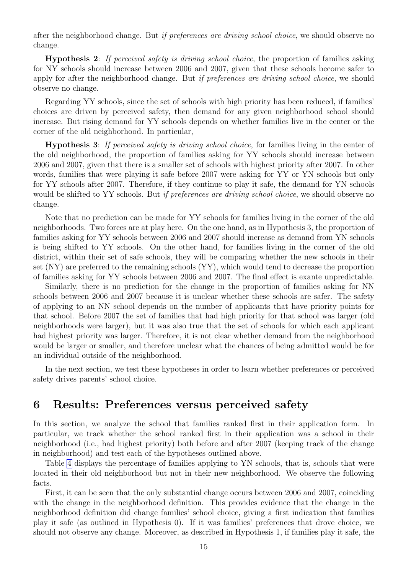after the neighborhood change. But *if preferences are driving school choice*, we should observe no change.

Hypothesis 2: If perceived safety is driving school choice, the proportion of families asking for NY schools should increase between 2006 and 2007, given that these schools become safer to apply for after the neighborhood change. But if preferences are driving school choice, we should observe no change.

Regarding YY schools, since the set of schools with high priority has been reduced, if families' choices are driven by perceived safety, then demand for any given neighborhood school should increase. But rising demand for YY schools depends on whether families live in the center or the corner of the old neighborhood. In particular,

Hypothesis 3: If perceived safety is driving school choice, for families living in the center of the old neighborhood, the proportion of families asking for YY schools should increase between 2006 and 2007, given that there is a smaller set of schools with highest priority after 2007. In other words, families that were playing it safe before 2007 were asking for YY or YN schools but only for YY schools after 2007. Therefore, if they continue to play it safe, the demand for YN schools would be shifted to YY schools. But *if preferences are driving school choice*, we should observe no change.

Note that no prediction can be made for YY schools for families living in the corner of the old neighborhoods. Two forces are at play here. On the one hand, as in Hypothesis 3, the proportion of families asking for YY schools between 2006 and 2007 should increase as demand from YN schools is being shifted to YY schools. On the other hand, for families living in the corner of the old district, within their set of safe schools, they will be comparing whether the new schools in their set (NY) are preferred to the remaining schools (YY), which would tend to decrease the proportion of families asking for YY schools between 2006 and 2007. The final effect is exante unpredictable.

Similarly, there is no prediction for the change in the proportion of families asking for NN schools between 2006 and 2007 because it is unclear whether these schools are safer. The safety of applying to an NN school depends on the number of applicants that have priority points for that school. Before 2007 the set of families that had high priority for that school was larger (old neighborhoods were larger), but it was also true that the set of schools for which each applicant had highest priority was larger. Therefore, it is not clear whether demand from the neighborhood would be larger or smaller, and therefore unclear what the chances of being admitted would be for an individual outside of the neighborhood.

In the next section, we test these hypotheses in order to learn whether preferences or perceived safety drives parents' school choice.

#### <span id="page-17-0"></span>6 Results: Preferences versus perceived safety

In this section, we analyze the school that families ranked first in their application form. In particular, we track whether the school ranked first in their application was a school in their neighborhood (i.e., had highest priority) both before and after 2007 (keeping track of the change in neighborhood) and test each of the hypotheses outlined above.

Table [4](#page-18-0) displays the percentage of families applying to YN schools, that is, schools that were located in their old neighborhood but not in their new neighborhood. We observe the following facts.

First, it can be seen that the only substantial change occurs between 2006 and 2007, coinciding with the change in the neighborhood definition. This provides evidence that the change in the neighborhood definition did change families' school choice, giving a first indication that families play it safe (as outlined in Hypothesis 0). If it was families' preferences that drove choice, we should not observe any change. Moreover, as described in Hypothesis 1, if families play it safe, the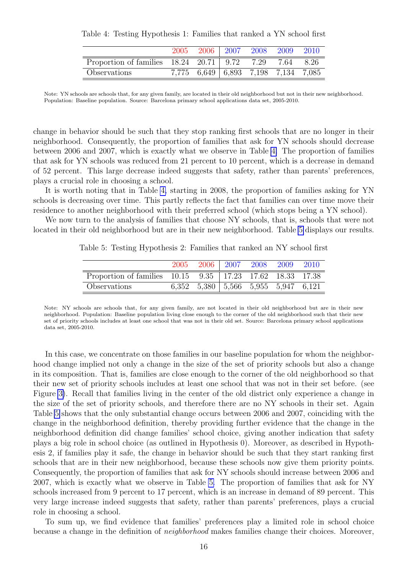<span id="page-18-0"></span>

| Table 4: Testing Hypothesis 1: Families that ranked a YN school first |  |  |  |
|-----------------------------------------------------------------------|--|--|--|
|-----------------------------------------------------------------------|--|--|--|

|                                                                 | 2005 | 2006 | $\mid 2007$ | 2008                                | - 2009    | 2010 |
|-----------------------------------------------------------------|------|------|-------------|-------------------------------------|-----------|------|
| Proportion of families $18.24 \quad 20.71 \mid 9.72 \quad 7.29$ |      |      |             |                                     | 7.64 8.26 |      |
| Observations                                                    |      |      |             | 7,775 6,649 6,893 7,198 7,134 7,085 |           |      |

Note: YN schools are schools that, for any given family, are located in their old neighborhood but not in their new neighborhood. Population: Baseline population. Source: Barcelona primary school applications data set, 2005-2010.

change in behavior should be such that they stop ranking first schools that are no longer in their neighborhood. Consequently, the proportion of families that ask for YN schools should decrease between 2006 and 2007, which is exactly what we observe in Table [4.](#page-18-0) The proportion of families that ask for YN schools was reduced from 21 percent to 10 percent, which is a decrease in demand of 52 percent. This large decrease indeed suggests that safety, rather than parents' preferences, plays a crucial role in choosing a school.

It is worth noting that in Table [4,](#page-18-0) starting in 2008, the proportion of families asking for YN schools is decreasing over time. This partly reflects the fact that families can over time move their residence to another neighborhood with their preferred school (which stops being a YN school).

<span id="page-18-1"></span>We now turn to the analysis of families that choose NY schools, that is, schools that were not located in their old neighborhood but are in their new neighborhood. Table [5](#page-18-1) displays our results.

Table 5: Testing Hypothesis 2: Families that ranked an NY school first

|                                                             | 2005 | 2006   2007 2008 2009 2010                           |  |  |
|-------------------------------------------------------------|------|------------------------------------------------------|--|--|
| Proportion of families 10.15 9.35   17.23 17.62 18.33 17.38 |      |                                                      |  |  |
| Observations                                                |      | $6,352$ $5,380$ $\mid 5,566$ $5,955$ $5,947$ $6,121$ |  |  |

Note: NY schools are schools that, for any given family, are not located in their old neighborhood but are in their new neighborhood. Population: Baseline population living close enough to the corner of the old neighborhood such that their new set of priority schools includes at least one school that was not in their old set. Source: Barcelona primary school applications data set, 2005-2010.

In this case, we concentrate on those families in our baseline population for whom the neighborhood change implied not only a change in the size of the set of priority schools but also a change in its composition. That is, families are close enough to the corner of the old neighborhood so that their new set of priority schools includes at least one school that was not in their set before. (see Figure [3\)](#page-16-0). Recall that families living in the center of the old district only experience a change in the size of the set of priority schools, and therefore there are no NY schools in their set. Again Table [5](#page-18-1) shows that the only substantial change occurs between 2006 and 2007, coinciding with the change in the neighborhood definition, thereby providing further evidence that the change in the neighborhood definition did change families' school choice, giving another indication that safety plays a big role in school choice (as outlined in Hypothesis 0). Moreover, as described in Hypothesis 2, if families play it safe, the change in behavior should be such that they start ranking first schools that are in their new neighborhood, because these schools now give them priority points. Consequently, the proportion of families that ask for NY schools should increase between 2006 and 2007, which is exactly what we observe in Table [5.](#page-18-1) The proportion of families that ask for NY schools increased from 9 percent to 17 percent, which is an increase in demand of 89 percent. This very large increase indeed suggests that safety, rather than parents' preferences, plays a crucial role in choosing a school.

To sum up, we find evidence that families' preferences play a limited role in school choice because a change in the definition of neighborhood makes families change their choices. Moreover,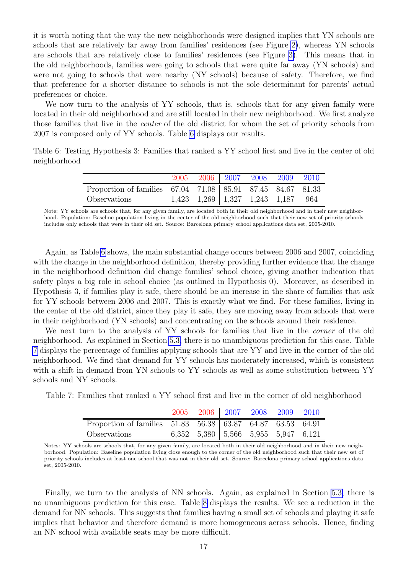it is worth noting that the way the new neighborhoods were designed implies that YN schools are schools that are relatively far away from families' residences (see Figure [2\)](#page-15-0), whereas YN schools are schools that are relatively close to families' residences (see Figure [3\)](#page-16-0). This means that in the old neighborhoods, families were going to schools that were quite far away (YN schools) and were not going to schools that were nearby (NY schools) because of safety. Therefore, we find that preference for a shorter distance to schools is not the sole determinant for parents' actual preferences or choice.

We now turn to the analysis of YY schools, that is, schools that for any given family were located in their old neighborhood and are still located in their new neighborhood. We first analyze those families that live in the center of the old district for whom the set of priority schools from 2007 is composed only of YY schools. Table [6](#page-19-0) displays our results.

<span id="page-19-0"></span>Table 6: Testing Hypothesis 3: Families that ranked a YY school first and live in the center of old neighborhood

|                                                            | 2005 |  | 2006   2007   2008   2009                 | - 2010 |
|------------------------------------------------------------|------|--|-------------------------------------------|--------|
| Proportion of families 67.04 71.08 85.91 87.45 84.67 81.33 |      |  |                                           |        |
| Observations                                               |      |  | $1,423$ $1,269$   $1,327$ $1,243$ $1,187$ | - 964  |

Note: YY schools are schools that, for any given family, are located both in their old neighborhood and in their new neighborhood. Population: Baseline population living in the center of the old neighborhood such that their new set of priority schools includes only schools that were in their old set. Source: Barcelona primary school applications data set, 2005-2010.

Again, as Table [6](#page-19-0) shows, the main substantial change occurs between 2006 and 2007, coinciding with the change in the neighborhood definition, thereby providing further evidence that the change in the neighborhood definition did change families' school choice, giving another indication that safety plays a big role in school choice (as outlined in Hypothesis 0). Moreover, as described in Hypothesis 3, if families play it safe, there should be an increase in the share of families that ask for YY schools between 2006 and 2007. This is exactly what we find. For these families, living in the center of the old district, since they play it safe, they are moving away from schools that were in their neighborhood (YN schools) and concentrating on the schools around their residence.

We next turn to the analysis of YY schools for families that live in the *corner* of the old neighborhood. As explained in Section [5.3,](#page-16-1) there is no unambiguous prediction for this case. Table [7](#page-19-1) displays the percentage of families applying schools that are YY and live in the corner of the old neighborhood. We find that demand for YY schools has moderately increased, which is consistent with a shift in demand from YN schools to YY schools as well as some substitution between YY schools and NY schools.

<span id="page-19-1"></span>Table 7: Families that ranked a YY school first and live in the corner of old neighborhood

|                                                            |  | 2005 2006 2007 2008 2009 2010                   |  |  |
|------------------------------------------------------------|--|-------------------------------------------------|--|--|
| Proportion of families 51.83 56.38 63.87 64.87 63.53 64.91 |  |                                                 |  |  |
| Observations                                               |  | $6,352$ $5,380$ $5,566$ $5,955$ $5,947$ $6,121$ |  |  |

Notes: YY schools are schools that, for any given family, are located both in their old neighborhood and in their new neighborhood. Population: Baseline population living close enough to the corner of the old neighborhood such that their new set of priority schools includes at least one school that was not in their old set. Source: Barcelona primary school applications data set, 2005-2010.

Finally, we turn to the analysis of NN schools. Again, as explained in Section [5.3,](#page-16-1) there is no unambiguous prediction for this case. Table [8](#page-20-1) displays the results. We see a reduction in the demand for NN schools. This suggests that families having a small set of schools and playing it safe implies that behavior and therefore demand is more homogeneous across schools. Hence, finding an NN school with available seats may be more difficult.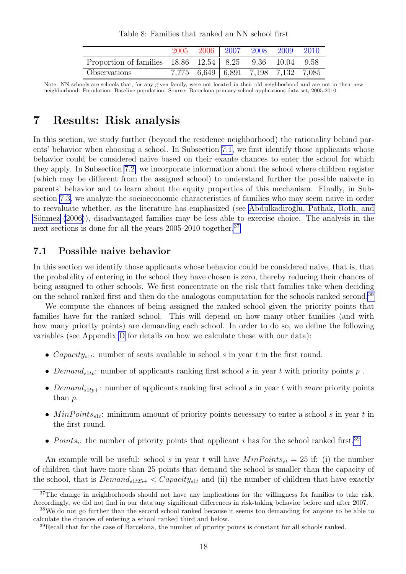| Table 8: Families that ranked an NN school first |
|--------------------------------------------------|
|--------------------------------------------------|

<span id="page-20-1"></span>

|                                                                                        |  | 2005 2006 2007 2008 2009 2010       |  |
|----------------------------------------------------------------------------------------|--|-------------------------------------|--|
| Proportion of families $18.86 \quad 12.54 \mid 8.25 \quad 9.36 \quad 10.04 \quad 9.58$ |  |                                     |  |
| Observations                                                                           |  | 7,775 6,649 6,891 7,198 7,132 7,085 |  |

Note: NN schools are schools that, for any given family, were not located in their old neighborhood and are not in their new neighborhood. Population: Baseline population. Source: Barcelona primary school applications data set, 2005-2010.

### <span id="page-20-0"></span>7 Results: Risk analysis

In this section, we study further (beyond the residence neighborhood) the rationality behind parents' behavior when choosing a school. In Subsection [7.1,](#page-20-2) we first identify those applicants whose behavior could be considered naive based on their exante chances to enter the school for which they apply. In Subsection [7.2,](#page-23-0) we incorporate information about the school where children register (which may be different from the assigned school) to understand further the possible naivete in parents' behavior and to learn about the equity properties of this mechanism. Finally, in Subsection [7.3,](#page-25-0) we analyze the socioeconomic characteristics of families who may seem naive in order to reevaluate whether, as the literature has emphasized (see Abdulkadiroğlu, Pathak, Roth, and Sönmez [\(2006\)](#page-28-16)), disadvantaged families may be less able to exercise choice. The analysis in the next sections is done for all the years 2005-2010 together.<sup>[37](#page-20-3)</sup>

#### <span id="page-20-2"></span>7.1 Possible naive behavior

In this section we identify those applicants whose behavior could be considered naive, that is, that the probability of entering in the school they have chosen is zero, thereby reducing their chances of being assigned to other schools. We first concentrate on the risk that families take when deciding on the school ranked first and then do the analogous computation for the schools ranked second.[38](#page-20-4)

We compute the chances of being assigned the ranked school given the priority points that families have for the ranked school. This will depend on how many other families (and with how many priority points) are demanding each school. In order to do so, we define the following variables (see Appendix [D](#page-32-0) for details on how we calculate these with our data):

- *Capacity*<sub>s1t</sub>: number of seats available in school s in year t in the first round.
- Demand<sub>s1tp</sub>: number of applicants ranking first school s in year t with priority points p.
- Demand<sub>s1tp+</sub>: number of applicants ranking first school s in year t with more priority points than p.
- $MinPoints_{s1t}$ : minimum amount of priority points necessary to enter a school s in year t in the first round.
- Points<sub>i</sub>: the number of priority points that applicant i has for the school ranked first.<sup>[39](#page-20-5)</sup>

An example will be useful: school s in year t will have  $MinPoints_{st} = 25$  if: (i) the number of children that have more than 25 points that demand the school is smaller than the capacity of the school, that is  $Demand_{s_1t_2s_+} < Capacity_{s_1t}$  and (ii) the number of children that have exactly

<span id="page-20-3"></span><sup>&</sup>lt;sup>37</sup>The change in neighborhoods should not have any implications for the willingness for families to take risk. Accordingly, we did not find in our data any significant differences in risk-taking behavior before and after 2007.

<span id="page-20-4"></span><sup>&</sup>lt;sup>38</sup>We do not go further than the second school ranked because it seems too demanding for anyone to be able to calculate the chances of entering a school ranked third and below.

<span id="page-20-5"></span><sup>&</sup>lt;sup>39</sup>Recall that for the case of Barcelona, the number of priority points is constant for all schools ranked.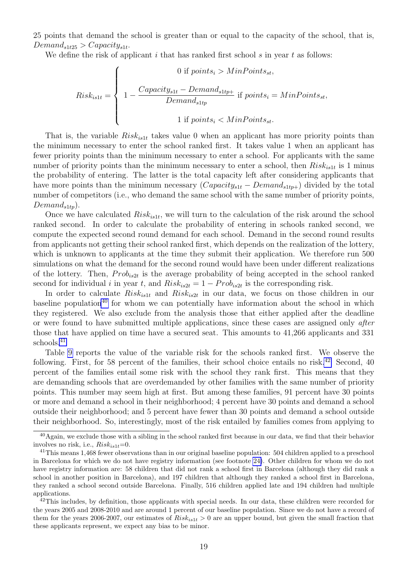25 points that demand the school is greater than or equal to the capacity of the school, that is,  $Demand_{s1t25} > Capacity_{s1t}.$ 

We define the risk of applicant  $i$  that has ranked first school  $s$  in year  $t$  as follows:

$$
Risk_{is1t} = \left\{ \begin{array}{c} 0 \text{ if points}_{i} > MinPoints_{st}, \\ 1 - \frac{Capacity_{s1t} - Demand_{s1tp+}}{Demand_{s1tp}} \text{ if points}_{i} = MinPoints_{st}, \\ 1 \text{ if points}_{i} < MinPoints_{st}. \end{array} \right.
$$

That is, the variable  $Risk_{ist}$  takes value 0 when an applicant has more priority points than the minimum necessary to enter the school ranked first. It takes value 1 when an applicant has fewer priority points than the minimum necessary to enter a school. For applicants with the same number of priority points than the minimum necessary to enter a school, then  $Risk_{is1t}$  is 1 minus the probability of entering. The latter is the total capacity left after considering applicants that have more points than the minimum necessary  $(Capacity_{s1t} - Demand_{s1tp+})$  divided by the total number of competitors (i.e., who demand the same school with the same number of priority points,  $Demand_{sltn}$ ).

Once we have calculated  $Risk_{is1t}$ , we will turn to the calculation of the risk around the school ranked second. In order to calculate the probability of entering in schools ranked second, we compute the expected second round demand for each school. Demand in the second round results from applicants not getting their school ranked first, which depends on the realization of the lottery, which is unknown to applicants at the time they submit their application. We therefore run 500 simulations on what the demand for the second round would have been under different realizations of the lottery. Then,  $Prob_{is2t}$  is the average probability of being accepted in the school ranked second for individual i in year t, and  $Risk_{is2t} = 1 - Prob_{is2t}$  is the corresponding risk.

In order to calculate  $Risk_{is1t}$  and  $Risk_{is2t}$  in our data, we focus on those children in our baseline population<sup>[40](#page-21-0)</sup> for whom we can potentially have information about the school in which they registered. We also exclude from the analysis those that either applied after the deadline or were found to have submitted multiple applications, since these cases are assigned only after those that have applied on time have a secured seat. This amounts to 41,266 applicants and 331 schools.[41](#page-21-1)

Table [9](#page-22-0) reports the value of the variable risk for the schools ranked first. We observe the following. First, for 58 percent of the families, their school choice entails no risk.<sup>[42](#page-21-2)</sup> Second, 40 percent of the families entail some risk with the school they rank first. This means that they are demanding schools that are overdemanded by other families with the same number of priority points. This number may seem high at first. But among these families, 91 percent have 30 points or more and demand a school in their neighborhood; 4 percent have 30 points and demand a school outside their neighborhood; and 5 percent have fewer than 30 points and demand a school outside their neighborhood. So, interestingly, most of the risk entailed by families comes from applying to

<span id="page-21-0"></span> $^{40}$ Again, we exclude those with a sibling in the school ranked first because in our data, we find that their behavior involves no risk, i.e.,  $Risk_{is1t}=0$ .

<span id="page-21-1"></span><sup>&</sup>lt;sup>41</sup>This means 1,468 fewer observations than in our original baseline population: 504 children applied to a preschool in Barcelona for which we do not have registry information (see footnote [24\)](#page-10-0). Other children for whom we do not have registry information are: 58 children that did not rank a school first in Barcelona (although they did rank a school in another position in Barcelona), and 197 children that although they ranked a school first in Barcelona, they ranked a school second outside Barcelona. Finally, 516 children applied late and 194 children had multiple applications.

<span id="page-21-2"></span> $^{42}$ This includes, by definition, those applicants with special needs. In our data, these children were recorded for the years 2005 and 2008-2010 and are around 1 percent of our baseline population. Since we do not have a record of them for the years 2006-2007, our estimates of  $Risk_{is1t} > 0$  are an upper bound, but given the small fraction that these applicants represent, we expect any bias to be minor.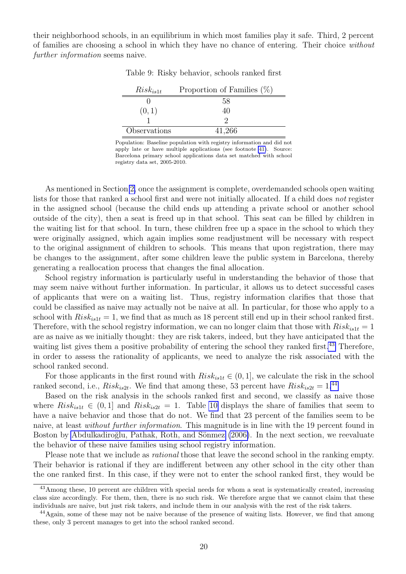<span id="page-22-0"></span>their neighborhood schools, in an equilibrium in which most families play it safe. Third, 2 percent of families are choosing a school in which they have no chance of entering. Their choice without further information seems naive.

| $Risk_{ist}$ | Proportion of Families $(\%)$ |
|--------------|-------------------------------|
|              | 58                            |
| (0,1)        |                               |
|              |                               |
| Observations | 41,266                        |

Table 9: Risky behavior, schools ranked first

Population: Baseline population with registry information and did not apply late or have multiple applications (see footnote [41\)](#page-21-1). Source: Barcelona primary school applications data set matched with school registry data set, 2005-2010.

As mentioned in Section [2,](#page-6-0) once the assignment is complete, overdemanded schools open waiting lists for those that ranked a school first and were not initially allocated. If a child does not register in the assigned school (because the child ends up attending a private school or another school outside of the city), then a seat is freed up in that school. This seat can be filled by children in the waiting list for that school. In turn, these children free up a space in the school to which they were originally assigned, which again implies some readjustment will be necessary with respect to the original assignment of children to schools. This means that upon registration, there may be changes to the assignment, after some children leave the public system in Barcelona, thereby generating a reallocation process that changes the final allocation.

School registry information is particularly useful in understanding the behavior of those that may seem naive without further information. In particular, it allows us to detect successful cases of applicants that were on a waiting list. Thus, registry information clarifies that those that could be classified as naive may actually not be naive at all. In particular, for those who apply to a school with  $Risk_{ist} = 1$ , we find that as much as 18 percent still end up in their school ranked first. Therefore, with the school registry information, we can no longer claim that those with  $Risk_{is1t} = 1$ are as naive as we initially thought: they are risk takers, indeed, but they have anticipated that the waiting list gives them a positive probability of entering the school they ranked first.<sup>[43](#page-22-1)</sup> Therefore, in order to assess the rationality of applicants, we need to analyze the risk associated with the school ranked second.

For those applicants in the first round with  $Risk_{is1t} \in (0,1]$ , we calculate the risk in the school ranked second, i.e.,  $Risk_{is2t}$ . We find that among these, 53 percent have  $Risk_{is2t} = 1.44$  $Risk_{is2t} = 1.44$ 

Based on the risk analysis in the schools ranked first and second, we classify as naive those where  $Risk_{is1t} \in (0,1]$  and  $Risk_{is2t} = 1$ . Table [10](#page-23-1) displays the share of families that seem to have a naive behavior and those that do not. We find that 23 percent of the families seem to be naive, at least *without further information*. This magnitude is in line with the 19 percent found in Boston by Abdulkadiroğlu, Pathak, Roth, and Sönmez [\(2006\)](#page-28-16). In the next section, we reevaluate the behavior of these naive families using school registry information.

Please note that we include as *rational* those that leave the second school in the ranking empty. Their behavior is rational if they are indifferent between any other school in the city other than the one ranked first. In this case, if they were not to enter the school ranked first, they would be

<span id="page-22-1"></span><sup>&</sup>lt;sup>43</sup>Among these, 10 percent are children with special needs for whom a seat is systematically created, increasing class size accordingly. For them, then, there is no such risk. We therefore argue that we cannot claim that these individuals are naive, but just risk takers, and include them in our analysis with the rest of the risk takers.

<span id="page-22-2"></span><sup>44</sup>Again, some of these may not be naive because of the presence of waiting lists. However, we find that among these, only 3 percent manages to get into the school ranked second.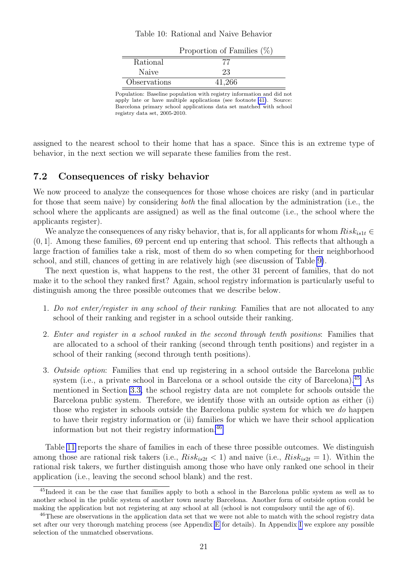#### Table 10: Rational and Naive Behavior

<span id="page-23-1"></span>

|              | Proportion of Families $(\%)$ |
|--------------|-------------------------------|
| Rational     |                               |
| Naive        | 23                            |
| Observations | 41,266                        |

Population: Baseline population with registry information and did not apply late or have multiple applications (see footnote [41\)](#page-21-1). Source: Barcelona primary school applications data set matched with school registry data set, 2005-2010.

assigned to the nearest school to their home that has a space. Since this is an extreme type of behavior, in the next section we will separate these families from the rest.

#### <span id="page-23-0"></span>7.2 Consequences of risky behavior

We now proceed to analyze the consequences for those whose choices are risky (and in particular for those that seem naive) by considering both the final allocation by the administration (i.e., the school where the applicants are assigned) as well as the final outcome (i.e., the school where the applicants register).

We analyze the consequences of any risky behavior, that is, for all applicants for whom  $Risk_{is1t} \in$ (0, 1]. Among these families, 69 percent end up entering that school. This reflects that although a large fraction of families take a risk, most of them do so when competing for their neighborhood school, and still, chances of getting in are relatively high (see discussion of Table [9\)](#page-22-0).

The next question is, what happens to the rest, the other 31 percent of families, that do not make it to the school they ranked first? Again, school registry information is particularly useful to distinguish among the three possible outcomes that we describe below.

- 1. Do not enter/register in any school of their ranking: Families that are not allocated to any school of their ranking and register in a school outside their ranking.
- 2. Enter and register in a school ranked in the second through tenth positions: Families that are allocated to a school of their ranking (second through tenth positions) and register in a school of their ranking (second through tenth positions).
- 3. Outside option: Families that end up registering in a school outside the Barcelona public system (i.e., a private school in Barcelona or a school outside the city of Barcelona).<sup>[45](#page-23-2)</sup> As mentioned in Section [3.3,](#page-10-2) the school registry data are not complete for schools outside the Barcelona public system. Therefore, we identify those with an outside option as either (i) those who register in schools outside the Barcelona public system for which we do happen to have their registry information or (ii) families for which we have their school application information but not their registry information.[46](#page-23-3)

Table [11](#page-24-0) reports the share of families in each of these three possible outcomes. We distinguish among those are rational risk takers (i.e.,  $Risk_{is2t} < 1$ ) and naive (i.e.,  $Risk_{is2t} = 1$ ). Within the rational risk takers, we further distinguish among those who have only ranked one school in their application (i.e., leaving the second school blank) and the rest.

<span id="page-23-2"></span><sup>45</sup>Indeed it can be the case that families apply to both a school in the Barcelona public system as well as to another school in the public system of another town nearby Barcelona. Another form of outside option could be making the application but not registering at any school at all (school is not compulsory until the age of 6).

<span id="page-23-3"></span><sup>&</sup>lt;sup>46</sup>These are observations in the application data set that we were not able to match with the school registry data set after our very thorough matching process (see Appendix [E](#page-33-0) for details). In Appendix [I](#page-37-0) we explore any possible selection of the unmatched observations.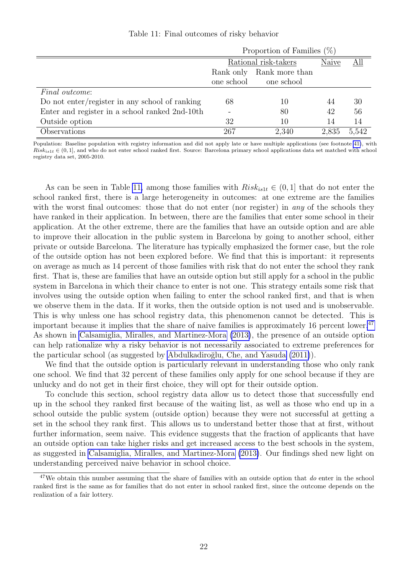<span id="page-24-0"></span>

|                                                | Proportion of Families $(\%)$ |            |       |       |  |  |
|------------------------------------------------|-------------------------------|------------|-------|-------|--|--|
|                                                | Rational risk-takers          | Naive      | All   |       |  |  |
|                                                | Rank only Rank more than      |            |       |       |  |  |
|                                                | one school                    | one school |       |       |  |  |
| <i>Final outcome:</i>                          |                               |            |       |       |  |  |
| Do not enter/register in any school of ranking | 68                            | 10         | 44    | 30    |  |  |
| Enter and register in a school ranked 2nd-10th |                               | 80         | 42    | 56    |  |  |
| Outside option                                 | 32                            | 10         | 14    | 14    |  |  |
| Observations                                   | 267                           | 2,340      | 2,835 | 5,542 |  |  |

Table 11: Final outcomes of risky behavior

Population: Baseline population with registry information and did not apply late or have multiple applications (see footnote [41\)](#page-21-1), with  $Risk_{is1t} \in (0,1]$ , and who do not enter school ranked first. Source: Barcelona primary school applications data set matched with school registry data set, 2005-2010.

As can be seen in Table [11,](#page-24-0) among those families with  $Risk_{ist} \in (0,1]$  that do not enter the school ranked first, there is a large heterogeneity in outcomes: at one extreme are the families with the worst final outcomes: those that do not enter (nor register) in *any* of the schools they have ranked in their application. In between, there are the families that enter some school in their application. At the other extreme, there are the families that have an outside option and are able to improve their allocation in the public system in Barcelona by going to another school, either private or outside Barcelona. The literature has typically emphasized the former case, but the role of the outside option has not been explored before. We find that this is important: it represents on average as much as 14 percent of those families with risk that do not enter the school they rank first. That is, these are families that have an outside option but still apply for a school in the public system in Barcelona in which their chance to enter is not one. This strategy entails some risk that involves using the outside option when failing to enter the school ranked first, and that is when we observe them in the data. If it works, then the outside option is not used and is unobservable. This is why unless one has school registry data, this phenomenon cannot be detected. This is important because it implies that the share of naive families is approximately 16 percent lower.<sup>[47](#page-24-1)</sup> As shown in [Calsamiglia, Miralles, and Martinez-Mora](#page-28-17) [\(2013\)](#page-28-17), the presence of an outside option can help rationalize why a risky behavior is not necessarily associated to extreme preferences for the particular school (as suggested by Abdulkadiroğlu, Che, and Yasuda [\(2011\)](#page-28-1)).

We find that the outside option is particularly relevant in understanding those who only rank one school. We find that 32 percent of these families only apply for one school because if they are unlucky and do not get in their first choice, they will opt for their outside option.

To conclude this section, school registry data allow us to detect those that successfully end up in the school they ranked first because of the waiting list, as well as those who end up in a school outside the public system (outside option) because they were not successful at getting a set in the school they rank first. This allows us to understand better those that at first, without further information, seem naive. This evidence suggests that the fraction of applicants that have an outside option can take higher risks and get increased access to the best schools in the system, as suggested in [Calsamiglia, Miralles, and Martinez-Mora](#page-28-17) [\(2013\)](#page-28-17). Our findings shed new light on understanding perceived naive behavior in school choice.

<span id="page-24-1"></span><sup>&</sup>lt;sup>47</sup>We obtain this number assuming that the share of families with an outside option that do enter in the school ranked first is the same as for families that do not enter in school ranked first, since the outcome depends on the realization of a fair lottery.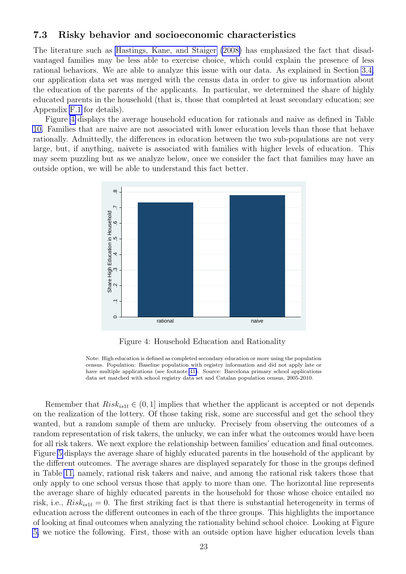#### <span id="page-25-0"></span>7.3 Risky behavior and socioeconomic characteristics

The literature such as [Hastings, Kane, and Staiger](#page-29-6) [\(2008\)](#page-29-6) has emphasized the fact that disadvantaged families may be less able to exercise choice, which could explain the presence of less rational behaviors. We are able to analyze this issue with our data. As explained in Section [3.4,](#page-10-3) our application data set was merged with the census data in order to give us information about the education of the parents of the applicants. In particular, we determined the share of highly educated parents in the household (that is, those that completed at least secondary education; see Appendix [F.1](#page-35-1) for details).

<span id="page-25-1"></span>Figure [4](#page-25-1) displays the average household education for rationals and naive as defined in Table [10.](#page-23-1) Families that are naive are not associated with lower education levels than those that behave rationally. Admittedly, the differences in education between the two sub-populations are not very large, but, if anything, naivete is associated with families with higher levels of education. This may seem puzzling but as we analyze below, once we consider the fact that families may have an outside option, we will be able to understand this fact better.



Figure 4: Household Education and Rationality

Note: High education is defined as completed secondary education or more using the population census. Population: Baseline population with registry information and did not apply late or have multiple applications (see footnote [41\)](#page-21-1). Source: Barcelona primary school applications data set matched with school registry data set and Catalan population census, 2005-2010.

Remember that  $Risk_{is1t} \in (0,1]$  implies that whether the applicant is accepted or not depends on the realization of the lottery. Of those taking risk, some are successful and get the school they wanted, but a random sample of them are unlucky. Precisely from observing the outcomes of a random representation of risk takers, the unlucky, we can infer what the outcomes would have been for all risk takers. We next explore the relationship between families' education and final outcomes. Figure [5](#page-26-1) displays the average share of highly educated parents in the household of the applicant by the different outcomes. The average shares are displayed separately for those in the groups defined in Table [11,](#page-24-0) namely, rational risk takers and naive, and among the rational risk takers those that only apply to one school versus those that apply to more than one. The horizontal line represents the average share of highly educated parents in the household for those whose choice entailed no risk, i.e.,  $Risk_{is1t} = 0$ . The first striking fact is that there is substantial heterogeneity in terms of education across the different outcomes in each of the three groups. This highlights the importance of looking at final outcomes when analyzing the rationality behind school choice. Looking at Figure [5,](#page-26-1) we notice the following. First, those with an outside option have higher education levels than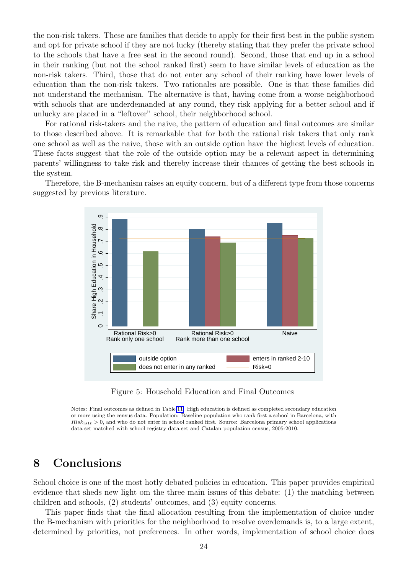the non-risk takers. These are families that decide to apply for their first best in the public system and opt for private school if they are not lucky (thereby stating that they prefer the private school to the schools that have a free seat in the second round). Second, those that end up in a school in their ranking (but not the school ranked first) seem to have similar levels of education as the non-risk takers. Third, those that do not enter any school of their ranking have lower levels of education than the non-risk takers. Two rationales are possible. One is that these families did not understand the mechanism. The alternative is that, having come from a worse neighborhood with schools that are underdemanded at any round, they risk applying for a better school and if unlucky are placed in a "leftover" school, their neighborhood school.

For rational risk-takers and the naive, the pattern of education and final outcomes are similar to those described above. It is remarkable that for both the rational risk takers that only rank one school as well as the naive, those with an outside option have the highest levels of education. These facts suggest that the role of the outside option may be a relevant aspect in determining parents' willingness to take risk and thereby increase their chances of getting the best schools in the system.

<span id="page-26-1"></span>Therefore, the B-mechanism raises an equity concern, but of a different type from those concerns suggested by previous literature.



Figure 5: Household Education and Final Outcomes

Notes: Final outcomes as defined in Table [11.](#page-24-0) High education is defined as completed secondary education or more using the census data. Population: Baseline population who rank first a school in Barcelona, with  $Risk_{is1t} > 0$ , and who do not enter in school ranked first. Source: Barcelona primary school applications data set matched with school registry data set and Catalan population census, 2005-2010.

### <span id="page-26-0"></span>8 Conclusions

School choice is one of the most hotly debated policies in education. This paper provides empirical evidence that sheds new light om the three main issues of this debate: (1) the matching between children and schools, (2) students' outcomes, and (3) equity concerns.

This paper finds that the final allocation resulting from the implementation of choice under the B-mechanism with priorities for the neighborhood to resolve overdemands is, to a large extent, determined by priorities, not preferences. In other words, implementation of school choice does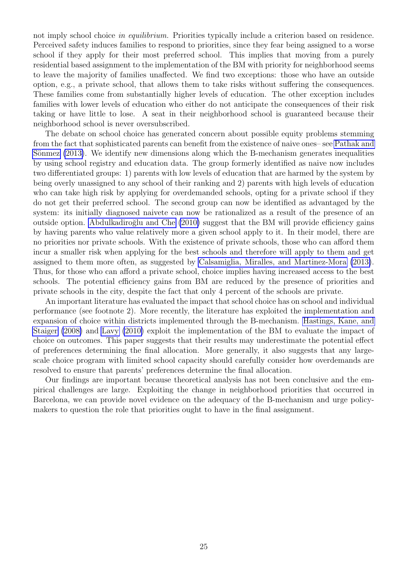not imply school choice in equilibrium. Priorities typically include a criterion based on residence. Perceived safety induces families to respond to priorities, since they fear being assigned to a worse school if they apply for their most preferred school. This implies that moving from a purely residential based assignment to the implementation of the BM with priority for neighborhood seems to leave the majority of families unaffected. We find two exceptions: those who have an outside option, e.g., a private school, that allows them to take risks without suffering the consequences. These families come from substantially higher levels of education. The other exception includes families with lower levels of education who either do not anticipate the consequences of their risk taking or have little to lose. A seat in their neighborhood school is guaranteed because their neighborhood school is never oversubscribed.

The debate on school choice has generated concern about possible equity problems stemming from the fact that sophisticated parents can benefit from the existence of naive ones– see [Pathak and](#page-29-1) Sönmez  $(2013)$ . We identify new dimensions along which the B-mechanism generates inequalities by using school registry and education data. The group formerly identified as naive now includes two differentiated groups: 1) parents with low levels of education that are harmed by the system by being overly unassigned to any school of their ranking and 2) parents with high levels of education who can take high risk by applying for overdemanded schools, opting for a private school if they do not get their preferred school. The second group can now be identified as advantaged by the system: its initially diagnosed naivete can now be rationalized as a result of the presence of an outside option. Abdulkadiroğlu and Che [\(2010\)](#page-28-18) suggest that the BM will provide efficiency gains by having parents who value relatively more a given school apply to it. In their model, there are no priorities nor private schools. With the existence of private schools, those who can afford them incur a smaller risk when applying for the best schools and therefore will apply to them and get assigned to them more often, as suggested by [Calsamiglia, Miralles, and Martinez-Mora](#page-28-17) [\(2013\)](#page-28-17). Thus, for those who can afford a private school, choice implies having increased access to the best schools. The potential efficiency gains from BM are reduced by the presence of priorities and private schools in the city, despite the fact that only 4 percent of the schools are private.

An important literature has evaluated the impact that school choice has on school and individual performance (see footnote 2). More recently, the literature has exploited the implementation and expansion of choice within districts implemented through the B-mechanism. [Hastings, Kane, and](#page-29-6) [Staiger](#page-29-6) [\(2008\)](#page-29-6) and [Lavy](#page-29-8) [\(2010\)](#page-29-8) exploit the implementation of the BM to evaluate the impact of choice on outcomes. This paper suggests that their results may underestimate the potential effect of preferences determining the final allocation. More generally, it also suggests that any largescale choice program with limited school capacity should carefully consider how overdemands are resolved to ensure that parents' preferences determine the final allocation.

Our findings are important because theoretical analysis has not been conclusive and the empirical challenges are large. Exploiting the change in neighborhood priorities that occurred in Barcelona, we can provide novel evidence on the adequacy of the B-mechanism and urge policymakers to question the role that priorities ought to have in the final assignment.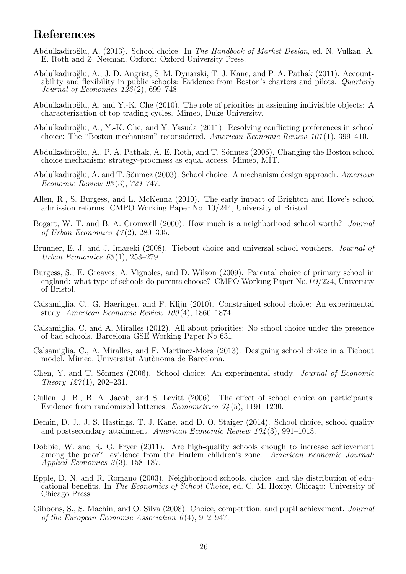#### References

- <span id="page-28-10"></span>Abdulkadiro˘glu, A. (2013). School choice. In The Handbook of Market Design, ed. N. Vulkan, A. E. Roth and Z. Neeman. Oxford: Oxford University Press.
- <span id="page-28-4"></span>Abdulkadiro˘glu, A., J. D. Angrist, S. M. Dynarski, T. J. Kane, and P. A. Pathak (2011). Accountability and flexibility in public schools: Evidence from Boston's charters and pilots. Quarterly Journal of Economics 126 (2), 699–748.
- <span id="page-28-18"></span>Abdulkadiroğlu, A. and Y.-K. Che (2010). The role of priorities in assigning indivisible objects: A characterization of top trading cycles. Mimeo, Duke University.
- <span id="page-28-1"></span>Abdulkadiro˘glu, A., Y.-K. Che, and Y. Yasuda (2011). Resolving conflicting preferences in school choice: The "Boston mechanism" reconsidered. American Economic Review 101 (1), 399–410.
- <span id="page-28-16"></span>Abdulkadiroğlu, A., P. A. Pathak, A. E. Roth, and T. Sönmez (2006). Changing the Boston school choice mechanism: strategy-proofness as equal access. Mimeo, MIT.
- <span id="page-28-0"></span>Abdulkadiroğlu, A. and T. Sönmez (2003). School choice: A mechanism design approach. American Economic Review 93 (3), 729–747.
- <span id="page-28-9"></span>Allen, R., S. Burgess, and L. McKenna (2010). The early impact of Brighton and Hove's school admission reforms. CMPO Working Paper No. 10/244, University of Bristol.
- <span id="page-28-15"></span>Bogart, W. T. and B. A. Cromwell (2000). How much is a neighborhood school worth? Journal of Urban Economics  $47(2)$ , 280–305.
- <span id="page-28-8"></span>Brunner, E. J. and J. Imazeki (2008). Tiebout choice and universal school vouchers. *Journal of* Urban Economics 63 (1), 253–279.
- <span id="page-28-12"></span>Burgess, S., E. Greaves, A. Vignoles, and D. Wilson (2009). Parental choice of primary school in england: what type of schools do parents choose? CMPO Working Paper No. 09/224, University of Bristol.
- <span id="page-28-14"></span>Calsamiglia, C., G. Haeringer, and F. Klijn (2010). Constrained school choice: An experimental study. American Economic Review 100 (4), 1860–1874.
- <span id="page-28-11"></span>Calsamiglia, C. and A. Miralles (2012). All about priorities: No school choice under the presence of bad schools. Barcelona GSE Working Paper No 631.
- <span id="page-28-17"></span>Calsamiglia, C., A. Miralles, and F. Martinez-Mora (2013). Designing school choice in a Tiebout model. Mimeo, Universitat Autònoma de Barcelona.
- <span id="page-28-13"></span>Chen, Y. and T. Sönmez (2006). School choice: An experimental study. *Journal of Economic* Theory  $127(1)$ ,  $202-231$ .
- <span id="page-28-2"></span>Cullen, J. B., B. A. Jacob, and S. Levitt (2006). The effect of school choice on participants: Evidence from randomized lotteries. Econometrica 74 (5), 1191–1230.
- <span id="page-28-6"></span>Demin, D. J., J. S. Hastings, T. J. Kane, and D. O. Staiger (2014). School choice, school quality and postsecondary attainment. American Economic Review 104 (3), 991–1013.
- <span id="page-28-5"></span>Dobbie, W. and R. G. Fryer (2011). Are high-quality schools enough to increase achievement among the poor? evidence from the Harlem children's zone. American Economic Journal: Applied Economics  $3(3)$ , 158–187.
- <span id="page-28-7"></span>Epple, D. N. and R. Romano (2003). Neighborhood schools, choice, and the distribution of educational benefits. In The Economics of School Choice, ed. C. M. Hoxby. Chicago: University of Chicago Press.
- <span id="page-28-3"></span>Gibbons, S., S. Machin, and O. Silva (2008). Choice, competition, and pupil achievement. Journal of the European Economic Association  $6(4)$ , 912–947.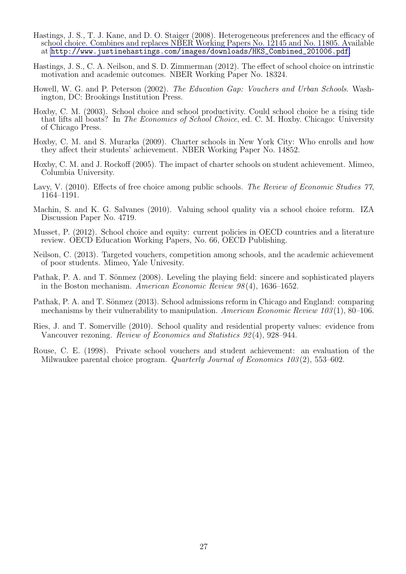- <span id="page-29-6"></span>Hastings, J. S., T. J. Kane, and D. O. Staiger (2008). Heterogeneous preferences and the efficacy of school choice. Combines and replaces NBER Working Papers No. 12145 and No. 11805. Available at [http://www.justinehastings.com/images/downloads/HKS\\_Combined\\_201006.pdf](http://www.justinehastings.com/images/downloads/HKS_Combined_201006.pdf).
- <span id="page-29-9"></span>Hastings, J. S., C. A. Neilson, and S. D. Zimmerman (2012). The effect of school choice on intrinstic motivation and academic outcomes. NBER Working Paper No. 18324.
- <span id="page-29-3"></span>Howell, W. G. and P. Peterson (2002). The Education Gap: Vouchers and Urban Schools. Washington, DC: Brookings Institution Press.
- <span id="page-29-5"></span>Hoxby, C. M. (2003). School choice and school productivity. Could school choice be a rising tide that lifts all boats? In The Economics of School Choice, ed. C. M. Hoxby. Chicago: University of Chicago Press.
- <span id="page-29-7"></span>Hoxby, C. M. and S. Murarka (2009). Charter schools in New York City: Who enrolls and how they affect their students' achievement. NBER Working Paper No. 14852.
- <span id="page-29-4"></span>Hoxby, C. M. and J. Rockoff (2005). The impact of charter schools on student achievement. Mimeo, Columbia University.
- <span id="page-29-8"></span>Lavy, V. (2010). Effects of free choice among public schools. The Review of Economic Studies 77, 1164–1191.
- <span id="page-29-11"></span>Machin, S. and K. G. Salvanes (2010). Valuing school quality via a school choice reform. IZA Discussion Paper No. 4719.
- <span id="page-29-0"></span>Musset, P. (2012). School choice and equity: current policies in OECD countries and a literature review. OECD Education Working Papers, No. 66, OECD Publishing.
- <span id="page-29-10"></span>Neilson, C. (2013). Targeted vouchers, competition among schools, and the academic achievement of poor students. Mimeo, Yale Univesity.
- <span id="page-29-13"></span>Pathak, P. A. and T. Sönmez (2008). Leveling the playing field: sincere and sophisticated players in the Boston mechanism. American Economic Review 98 (4), 1636–1652.
- <span id="page-29-1"></span>Pathak, P. A. and T. Sönmez (2013). School admissions reform in Chicago and England: comparing mechanisms by their vulnerability to manipulation. American Economic Review 103 (1), 80–106.
- <span id="page-29-12"></span>Ries, J. and T. Somerville (2010). School quality and residential property values: evidence from Vancouver rezoning. Review of Economics and Statistics 92 (4), 928–944.
- <span id="page-29-2"></span>Rouse, C. E. (1998). Private school vouchers and student achievement: an evaluation of the Milwaukee parental choice program. *Quarterly Journal of Economics 103(2)*, 553–602.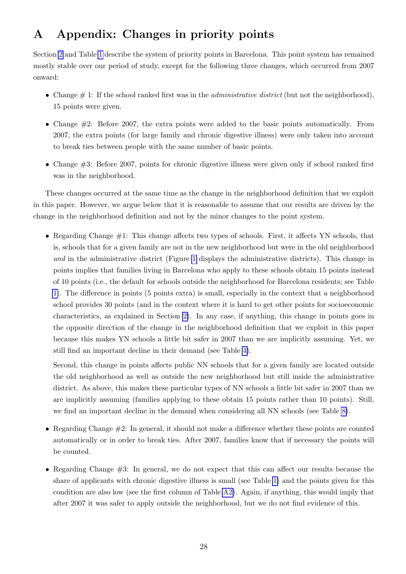# <span id="page-30-0"></span>A Appendix: Changes in priority points

Section [2](#page-6-0) and Table [1](#page-8-0) describe the system of priority points in Barcelona. This point system has remained mostly stable over our period of study, except for the following three changes, which occurred from 2007 onward:

- Change  $\#$  1: If the school ranked first was in the *administrative district* (but not the neighborhood), 15 points were given.
- Change #2: Before 2007, the extra points were added to the basic points automatically. From 2007, the extra points (for large family and chronic digestive illness) were only taken into account to break ties between people with the same number of basic points.
- Change #3: Before 2007, points for chronic digestive illness were given only if school ranked first was in the neighborhood.

These changes occurred at the same time as the change in the neighborhood definition that we exploit in this paper. However, we argue below that it is reasonable to assume that our results are driven by the change in the neighborhood definition and not by the minor changes to the point system.

• Regarding Change #1: This change affects two types of schools. First, it affects YN schools, that is, schools that for a given family are not in the new neighborhood but were in the old neighborhood and in the administrative district (Figure [1](#page-13-1) displays the administrative districts). This change in points implies that families living in Barcelona who apply to these schools obtain 15 points instead of 10 points (i.e., the default for schools outside the neighborhood for Barcelona residents; see Table [1\)](#page-8-0). The difference in points (5 points extra) is small, especially in the context that a neighborhood school provides 30 points (and in the context where it is hard to get other points for socioeconomic characteristics, as explained in Section [2\)](#page-6-0). In any case, if anything, this change in points goes in the opposite direction of the change in the neighborhood definition that we exploit in this paper because this makes YN schools a little bit safer in 2007 than we are implicitly assuming. Yet, we still find an important decline in their demand (see Table [4\)](#page-18-0).

Second, this change in points affects public NN schools that for a given family are located outside the old neighborhood as well as outside the new neighborhood but still inside the administrative district. As above, this makes these particular types of NN schools a little bit safer in 2007 than we are implicitly assuming (families applying to these obtain 15 points rather than 10 points). Still, we find an important decline in the demand when considering all NN schools (see Table [8\)](#page-20-1).

- Regarding Change  $\#2$ : In general, it should not make a difference whether these points are counted automatically or in order to break ties. After 2007, families know that if necessary the points will be counted.
- Regarding Change #3: In general, we do not expect that this can affect our results because the share of applicants with chronic digestive illness is small (see Table [1\)](#page-8-0) and the points given for this condition are also low (see the first column of Table [A2\)](#page-32-1). Again, if anything, this would imply that after 2007 it was safer to apply outside the neighborhood, but we do not find evidence of this.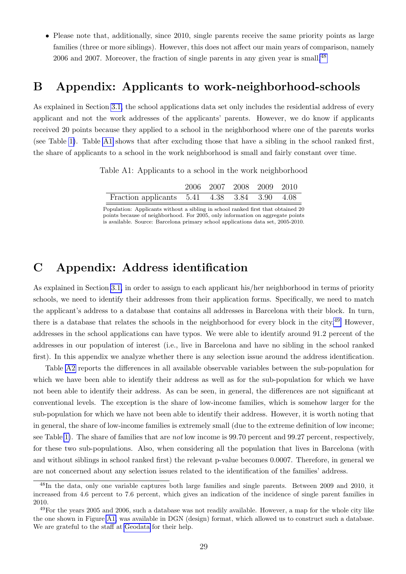• Please note that, additionally, since 2010, single parents receive the same priority points as large families (three or more siblings). However, this does not affect our main years of comparison, namely 2006 and 2007. Moreover, the fraction of single parents in any given year is small.[48](#page-31-2)

#### <span id="page-31-1"></span>B Appendix: Applicants to work-neighborhood-schools

<span id="page-31-3"></span>As explained in Section [3.1,](#page-8-3) the school applications data set only includes the residential address of every applicant and not the work addresses of the applicants' parents. However, we do know if applicants received 20 points because they applied to a school in the neighborhood where one of the parents works (see Table [1\)](#page-8-0). Table [A1](#page-31-3) shows that after excluding those that have a sibling in the school ranked first, the share of applicants to a school in the work neighborhood is small and fairly constant over time.

Table A1: Applicants to a school in the work neighborhood

|                                              | 2006 2007 2008 2009 2010 |  |  |
|----------------------------------------------|--------------------------|--|--|
| Fraction applicants 5.41 4.38 3.84 3.90 4.08 |                          |  |  |

Population: Applicants without a sibling in school ranked first that obtained 20 points because of neighborhood. For 2005, only information on aggregate points is available. Source: Barcelona primary school applications data set, 2005-2010.

### <span id="page-31-0"></span>C Appendix: Address identification

As explained in Section [3.1,](#page-8-3) in order to assign to each applicant his/her neighborhood in terms of priority schools, we need to identify their addresses from their application forms. Specifically, we need to match the applicant's address to a database that contains all addresses in Barcelona with their block. In turn, there is a database that relates the schools in the neighborhood for every block in the city.<sup>[49](#page-31-4)</sup> However, addresses in the school applications can have typos. We were able to identify around 91.2 percent of the addresses in our population of interest (i.e., live in Barcelona and have no sibling in the school ranked first). In this appendix we analyze whether there is any selection issue around the address identification.

Table [A2](#page-32-1) reports the differences in all available observable variables between the sub-population for which we have been able to identify their address as well as for the sub-population for which we have not been able to identify their address. As can be seen, in general, the differences are not significant at conventional levels. The exception is the share of low-income families, which is somehow larger for the sub-population for which we have not been able to identify their address. However, it is worth noting that in general, the share of low-income families is extremely small (due to the extreme definition of low income; see Table [1\)](#page-8-0). The share of families that are not low income is 99.70 percent and 99.27 percent, respectively, for these two sub-populations. Also, when considering all the population that lives in Barcelona (with and without siblings in school ranked first) the relevant p-value becomes 0.0007. Therefore, in general we are not concerned about any selection issues related to the identification of the families' address.

<span id="page-31-2"></span><sup>48</sup>In the data, only one variable captures both large families and single parents. Between 2009 and 2010, it increased from 4.6 percent to 7.6 percent, which gives an indication of the incidence of single parent families in 2010.

<span id="page-31-4"></span> $49$ For the years 2005 and 2006, such a database was not readily available. However, a map for the whole city like the one shown in Figure [A1,](#page-36-1) was available in DGN (design) format, which allowed us to construct such a database. We are grateful to the staff at [Geodata](http://www.geodata.es/) for their help.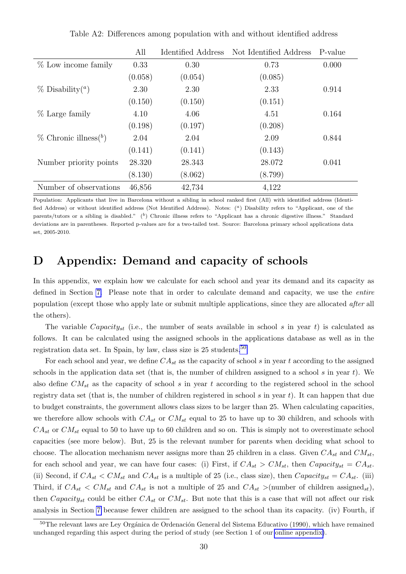<span id="page-32-1"></span>

|                                        | All     | Identified Address | Not Identified Address | P-value |
|----------------------------------------|---------|--------------------|------------------------|---------|
| $%$ Low income family                  | 0.33    | 0.30               | 0.73                   | 0.000   |
|                                        | (0.058) | (0.054)            | (0.085)                |         |
| $\%$ Disability( <sup><i>a</i></sup> ) | 2.30    | 2.30               | 2.33                   | 0.914   |
|                                        | (0.150) | (0.150)            | (0.151)                |         |
| % Large family                         | 4.10    | 4.06               | 4.51                   | 0.164   |
|                                        | (0.198) | (0.197)            | (0.208)                |         |
| $\%$ Chronic illness( <sup>b</sup> )   | 2.04    | 2.04               | 2.09                   | 0.844   |
|                                        | (0.141) | (0.141)            | (0.143)                |         |
| Number priority points                 | 28.320  | 28.343             | 28.072                 | 0.041   |
|                                        | (8.130) | (8.062)            | (8.799)                |         |
| Number of observations                 | 46,856  | 42,734             | 4,122                  |         |

Table A2: Differences among population with and without identified address

Population: Applicants that live in Barcelona without a sibling in school ranked first (All) with identified address (Identified Address) or without identified address (Not Identified Address). Notes: (<sup>a</sup>) Disability refers to "Applicant, one of the parents/tutors or a sibling is disabled."  $(b)$  Chronic illness refers to "Applicant has a chronic digestive illness." Standard deviations are in parentheses. Reported p-values are for a two-tailed test. Source: Barcelona primary school applications data set, 2005-2010.

### <span id="page-32-0"></span>D Appendix: Demand and capacity of schools

In this appendix, we explain how we calculate for each school and year its demand and its capacity as defined in Section [7.](#page-20-0) Please note that in order to calculate demand and capacity, we use the entire population (except those who apply late or submit multiple applications, since they are allocated after all the others).

The variable Capacity<sub>st</sub> (i.e., the number of seats available in school s in year t) is calculated as follows. It can be calculated using the assigned schools in the applications database as well as in the registration data set. In Spain, by law, class size is  $25$  students.<sup>[50](#page-32-2)</sup>

For each school and year, we define  $CA_{st}$  as the capacity of school s in year t according to the assigned schools in the application data set (that is, the number of children assigned to a school s in year t). We also define  $CM_{st}$  as the capacity of school s in year t according to the registered school in the school registry data set (that is, the number of children registered in school s in year  $t$ ). It can happen that due to budget constraints, the government allows class sizes to be larger than 25. When calculating capacities, we therefore allow schools with  $CA_{st}$  or  $CM_{st}$  equal to 25 to have up to 30 children, and schools with  $CA_{st}$  or  $CM_{st}$  equal to 50 to have up to 60 children and so on. This is simply not to overestimate school capacities (see more below). But, 25 is the relevant number for parents when deciding what school to choose. The allocation mechanism never assigns more than 25 children in a class. Given  $CA_{st}$  and  $CM_{st}$ , for each school and year, we can have four cases: (i) First, if  $CA_{st} > CM_{st}$ , then  $Capacity_{st} = CA_{st}$ . (ii) Second, if  $CA_{st} < CM_{st}$  and  $CA_{st}$  is a multiple of 25 (i.e., class size), then  $Capacity_{st} = CA_{st}$ . (iii) Third, if  $CA_{st} < CM_{st}$  and  $CA_{st}$  is not a multiple of 25 and  $CA_{st} > (number of children assigned_{st}),$ then Capacity<sub>st</sub> could be either  $CA_{st}$  or  $CM_{st}$ . But note that this is a case that will not affect our risk analysis in Section [7](#page-20-0) because fewer children are assigned to the school than its capacity. (iv) Fourth, if

<span id="page-32-2"></span><sup>&</sup>lt;sup>50</sup>The relevant laws are Ley Orgánica de Ordenación General del Sistema Educativo (1990), which have remained unchanged regarding this aspect during the period of study (see Section 1 of our [online appendix\)](http://www.maiaguell.com/SchoolsBCN/OnlineAppendixChoiceBarcelona.pdf).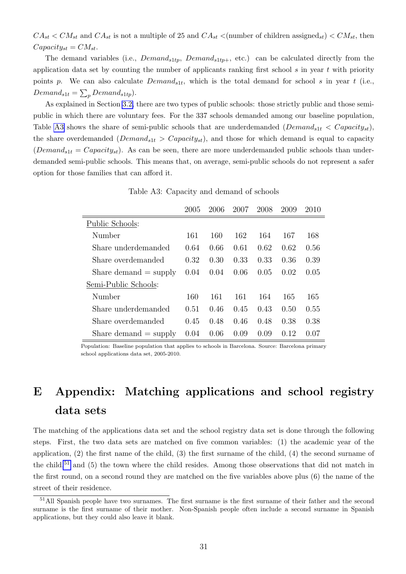$CA_{st} < CM_{st}$  and  $CA_{st}$  is not a multiple of 25 and  $CA_{st} <$ (number of children assigned<sub>st</sub>)  $\lt CM_{st}$ , then  $Capacity_{st} = CM_{st}.$ 

The demand variables (i.e.,  $Demand_{s1tp}$ ,  $Demand_{s1tp+}$ , etc.) can be calculated directly from the application data set by counting the number of applicants ranking first school  $s$  in year  $t$  with priority points p. We can also calculate  $Demand_{s1t}$ , which is the total demand for school s in year t (i.e.,  $Demand_{s1t} = \sum_{p} Demand_{s1tp}).$ 

As explained in Section [3.2,](#page-9-4) there are two types of public schools: those strictly public and those semipublic in which there are voluntary fees. For the 337 schools demanded among our baseline population, Table [A3](#page-33-1) shows the share of semi-public schools that are underdemanded  $(Demand_{s1t} < Capacity_{st})$ , the share overdemanded ( $Demand_{s1t} > Capacity_{st}$ ), and those for which demand is equal to capacity  $(Demand_{s1t} = Capacity_{st})$ . As can be seen, there are more underdemanded public schools than underdemanded semi-public schools. This means that, on average, semi-public schools do not represent a safer option for those families that can afford it.

Table A3: Capacity and demand of schools

<span id="page-33-1"></span>

|                         | 2005 | 2006 | 2007 | 2008 | 2009 | 2010 |
|-------------------------|------|------|------|------|------|------|
| Public Schools:         |      |      |      |      |      |      |
| Number                  | 161  | 160  | 162  | 164  | 167  | 168  |
| Share underdemanded     | 0.64 | 0.66 | 0.61 | 0.62 | 0.62 | 0.56 |
| Share overdemanded      | 0.32 | 0.30 | 0.33 | 0.33 | 0.36 | 0.39 |
| Share demand $=$ supply | 0.04 | 0.04 | 0.06 | 0.05 | 0.02 | 0.05 |
| Semi-Public Schools:    |      |      |      |      |      |      |
| Number                  | 160  | 161  | 161  | 164  | 165  | 165  |
| Share underdemanded     | 0.51 | 0.46 | 0.45 | 0.43 | 0.50 | 0.55 |
| Share overdemanded      | 0.45 | 0.48 | 0.46 | 0.48 | 0.38 | 0.38 |
| Share demand $=$ supply | 0.04 | 0.06 | 0.09 | 0.09 | 0.12 | 0.07 |

Population: Baseline population that applies to schools in Barcelona. Source: Barcelona primary school applications data set, 2005-2010.

# <span id="page-33-0"></span>E Appendix: Matching applications and school registry data sets

The matching of the applications data set and the school registry data set is done through the following steps. First, the two data sets are matched on five common variables: (1) the academic year of the application, (2) the first name of the child, (3) the first surname of the child, (4) the second surname of the child, $51$  and (5) the town where the child resides. Among those observations that did not match in the first round, on a second round they are matched on the five variables above plus (6) the name of the street of their residence.

<span id="page-33-2"></span><sup>51</sup>All Spanish people have two surnames. The first surname is the first surname of their father and the second surname is the first surname of their mother. Non-Spanish people often include a second surname in Spanish applications, but they could also leave it blank.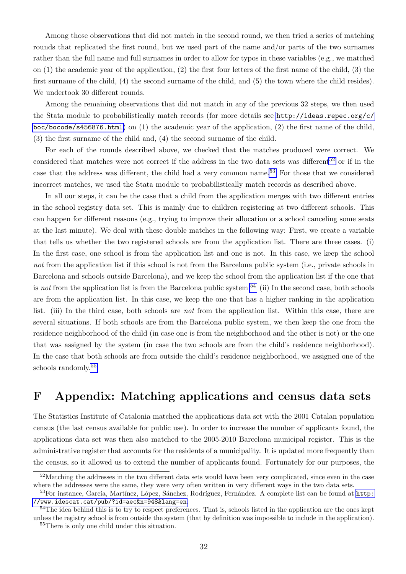Among those observations that did not match in the second round, we then tried a series of matching rounds that replicated the first round, but we used part of the name and/or parts of the two surnames rather than the full name and full surnames in order to allow for typos in these variables (e.g., we matched on (1) the academic year of the application, (2) the first four letters of the first name of the child, (3) the first surname of the child, (4) the second surname of the child, and (5) the town where the child resides). We undertook 30 different rounds.

Among the remaining observations that did not match in any of the previous 32 steps, we then used the Stata module to probabilistically match records (for more details see [http://ideas.repec.org/c/](http://ideas.repec.org/c/boc/bocode/s456876.html) [boc/bocode/s456876.html](http://ideas.repec.org/c/boc/bocode/s456876.html)) on (1) the academic year of the application, (2) the first name of the child, (3) the first surname of the child and, (4) the second surname of the child.

For each of the rounds described above, we checked that the matches produced were correct. We considered that matches were not correct if the address in the two data sets was different<sup>[52](#page-34-1)</sup> or if in the case that the address was different, the child had a very common name.<sup>[53](#page-34-2)</sup> For those that we considered incorrect matches, we used the Stata module to probabilistically match records as described above.

In all our steps, it can be the case that a child from the application merges with two different entries in the school registry data set. This is mainly due to children registering at two different schools. This can happen for different reasons (e.g., trying to improve their allocation or a school canceling some seats at the last minute). We deal with these double matches in the following way: First, we create a variable that tells us whether the two registered schools are from the application list. There are three cases. (i) In the first case, one school is from the application list and one is not. In this case, we keep the school not from the application list if this school is not from the Barcelona public system (i.e., private schools in Barcelona and schools outside Barcelona), and we keep the school from the application list if the one that is not from the application list is from the Barcelona public system.<sup>[54](#page-34-3)</sup> (ii) In the second case, both schools are from the application list. In this case, we keep the one that has a higher ranking in the application list. (iii) In the third case, both schools are not from the application list. Within this case, there are several situations. If both schools are from the Barcelona public system, we then keep the one from the residence neighborhood of the child (in case one is from the neighborhood and the other is not) or the one that was assigned by the system (in case the two schools are from the child's residence neighborhood). In the case that both schools are from outside the child's residence neighborhood, we assigned one of the schools randomly.[55](#page-34-4)

### <span id="page-34-0"></span>F Appendix: Matching applications and census data sets

The Statistics Institute of Catalonia matched the applications data set with the 2001 Catalan population census (the last census available for public use). In order to increase the number of applicants found, the applications data set was then also matched to the 2005-2010 Barcelona municipal register. This is the administrative register that accounts for the residents of a municipality. It is updated more frequently than the census, so it allowed us to extend the number of applicants found. Fortunately for our purposes, the

<span id="page-34-1"></span><sup>&</sup>lt;sup>52</sup>Matching the addresses in the two different data sets would have been very complicated, since even in the case where the addresses were the same, they were very often written in very different ways in the two data sets.

<span id="page-34-2"></span><sup>53</sup>For instance, García, Martínez, López, Sánchez, Rodríguez, Fernández. A complete list can be found at [http:](http://www.idescat.cat/pub/?id=aec&n=948&lang=en) [//www.idescat.cat/pub/?id=aec&n=948&lang=en](http://www.idescat.cat/pub/?id=aec&n=948&lang=en).

<span id="page-34-3"></span><sup>&</sup>lt;sup>54</sup>The idea behind this is to try to respect preferences. That is, schools listed in the application are the ones kept unless the registry school is from outside the system (that by definition was impossible to include in the application).

<span id="page-34-4"></span><sup>55</sup>There is only one child under this situation.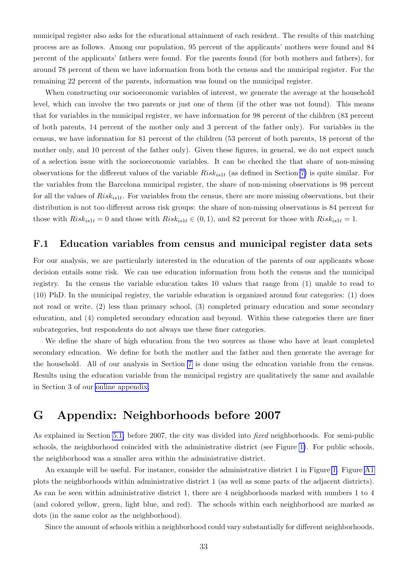municipal register also asks for the educational attainment of each resident. The results of this matching process are as follows. Among our population, 95 percent of the applicants' mothers were found and 84 percent of the applicants' fathers were found. For the parents found (for both mothers and fathers), for around 78 percent of them we have information from both the census and the municipal register. For the remaining 22 percent of the parents, information was found on the municipal register.

When constructing our socioeconomic variables of interest, we generate the average at the household level, which can involve the two parents or just one of them (if the other was not found). This means that for variables in the municipal register, we have information for 98 percent of the children (83 percent of both parents, 14 percent of the mother only and 3 percent of the father only). For variables in the census, we have information for 81 percent of the children (53 percent of both parents, 18 percent of the mother only, and 10 percent of the father only). Given these figures, in general, we do not expect much of a selection issue with the socioeconomic variables. It can be checked the that share of non-missing observations for the different values of the variable  $Risk_{is1t}$  (as defined in Section [7\)](#page-20-0) is quite similar. For the variables from the Barcelona municipal register, the share of non-missing observations is 98 percent for all the values of  $Risk_{is1t}$ . For variables from the census, there are more missing observations, but their distribution is not too different across risk groups: the share of non-missing observations is 84 percent for those with  $Risk_{is1t} = 0$  and those with  $Risk_{is1t} \in (0,1)$ , and 82 percent for those with  $Risk_{is1t} = 1$ .

#### <span id="page-35-1"></span>F.1 Education variables from census and municipal register data sets

For our analysis, we are particularly interested in the education of the parents of our applicants whose decision entails some risk. We can use education information from both the census and the municipal registry. In the census the variable education takes 10 values that range from (1) unable to read to (10) PhD. In the municipal registry, the variable education is organized around four categories: (1) does not read or write, (2) less than primary school, (3) completed primary education and some secondary education, and (4) completed secondary education and beyond. Within these categories there are finer subcategories, but respondents do not always use these finer categories.

We define the share of high education from the two sources as those who have at least completed secondary education. We define for both the mother and the father and then generate the average for the household. All of our analysis in Section [7](#page-20-0) is done using the education variable from the census. Results using the education variable from the municipal registry are qualitatively the same and available in Section 3 of our [online appendix.](http://www.maiaguell.com/SchoolsBCN/OnlineAppendixChoiceBarcelona.pdf)

### <span id="page-35-0"></span>G Appendix: Neighborhoods before 2007

As explained in Section [5.1,](#page-13-0) before 2007, the city was divided into *fixed* neighborhoods. For semi-public schools, the neighborhood coincided with the administrative district (see Figure [1\)](#page-13-1). For public schools, the neighborhood was a smaller area within the administrative district.

An example will be useful. For instance, consider the administrative district 1 in Figure [1.](#page-13-1) Figure [A1](#page-36-1) plots the neighborhoods within administrative district 1 (as well as some parts of the adjacent districts). As can be seen within administrative district 1, there are 4 neighborhoods marked with numbers 1 to 4 (and colored yellow, green, light blue, and red). The schools within each neighborhood are marked as dots (in the same color as the neighborhood).

Since the amount of schools within a neighborhood could vary substantially for different neighborhoods,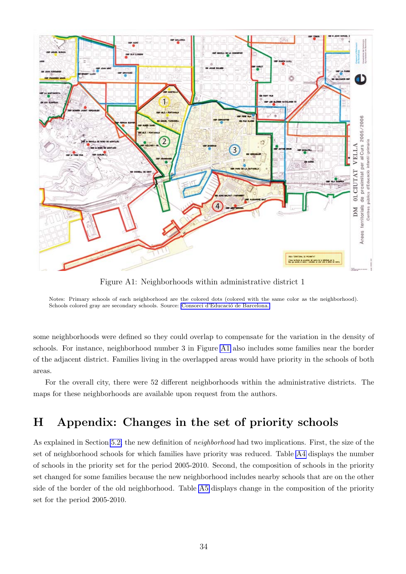<span id="page-36-1"></span>

Figure A1: Neighborhoods within administrative district 1

Notes: Primary schools of each neighborhood are the colored dots (colored with the same color as the neighborhood). Schools colored gray are secondary schools. Source: Consorci d'Educació de Barcelona.

some neighborhoods were defined so they could overlap to compensate for the variation in the density of schools. For instance, neighborhood number 3 in Figure [A1](#page-36-1) also includes some families near the border of the adjacent district. Families living in the overlapped areas would have priority in the schools of both areas.

For the overall city, there were 52 different neighborhoods within the administrative districts. The maps for these neighborhoods are available upon request from the authors.

### <span id="page-36-0"></span>H Appendix: Changes in the set of priority schools

As explained in Section [5.2,](#page-14-1) the new definition of neighborhood had two implications. First, the size of the set of neighborhood schools for which families have priority was reduced. Table [A4](#page-37-1) displays the number of schools in the priority set for the period 2005-2010. Second, the composition of schools in the priority set changed for some families because the new neighborhood includes nearby schools that are on the other side of the border of the old neighborhood. Table [A5](#page-37-2) displays change in the composition of the priority set for the period 2005-2010.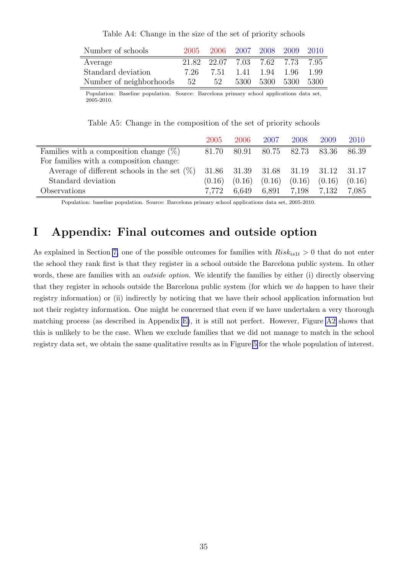Table A4: Change in the size of the set of priority schools

<span id="page-37-1"></span>

| Number of schools          | 2005 |                                 | 2006 2007 2008 2009 2010 |  |  |
|----------------------------|------|---------------------------------|--------------------------|--|--|
| Average                    |      | 21.82 22.07 7.03 7.62 7.73 7.95 |                          |  |  |
| Standard deviation         | 7.26 |                                 | 7.51 1.41 1.94 1.96 1.99 |  |  |
| Number of neighborhoods 52 |      | 52                              | 5300 5300 5300 5300      |  |  |

Population: Baseline population. Source: Barcelona primary school applications data set, 2005-2010.

Table A5: Change in the composition of the set of priority schools

<span id="page-37-2"></span>

|                                                | 2005   | 2006   | 2007                    | 2008   | 2009   | 2010   |
|------------------------------------------------|--------|--------|-------------------------|--------|--------|--------|
| Families with a composition change $(\%)$      | 81.70  | 80.91  | 80.75                   | 82.73  | 83.36  | 86.39  |
| For families with a composition change:        |        |        |                         |        |        |        |
| Average of different schools in the set $(\%)$ | 31.86  |        | 31.39 31.68 31.19 31.12 |        |        | 31.17  |
| Standard deviation                             | (0.16) | (0.16) | (0.16)                  | (0.16) | (0.16) | (0.16) |
| Observations                                   | 7.772  | 6.649  | 6.891                   | 7.198  | 7.132  | 7,085  |

Population: baseline population. Source: Barcelona primary school applications data set, 2005-2010.

## <span id="page-37-0"></span>I Appendix: Final outcomes and outside option

As explained in Section [7,](#page-20-0) one of the possible outcomes for families with  $Risk_{is1t} > 0$  that do not enter the school they rank first is that they register in a school outside the Barcelona public system. In other words, these are families with an *outside option*. We identify the families by either (i) directly observing that they register in schools outside the Barcelona public system (for which we do happen to have their registry information) or (ii) indirectly by noticing that we have their school application information but not their registry information. One might be concerned that even if we have undertaken a very thorough matching process (as described in Appendix [E\)](#page-33-0), it is still not perfect. However, Figure [A2](#page-38-0) shows that this is unlikely to be the case. When we exclude families that we did not manage to match in the school registry data set, we obtain the same qualitative results as in Figure [5](#page-26-1) for the whole population of interest.